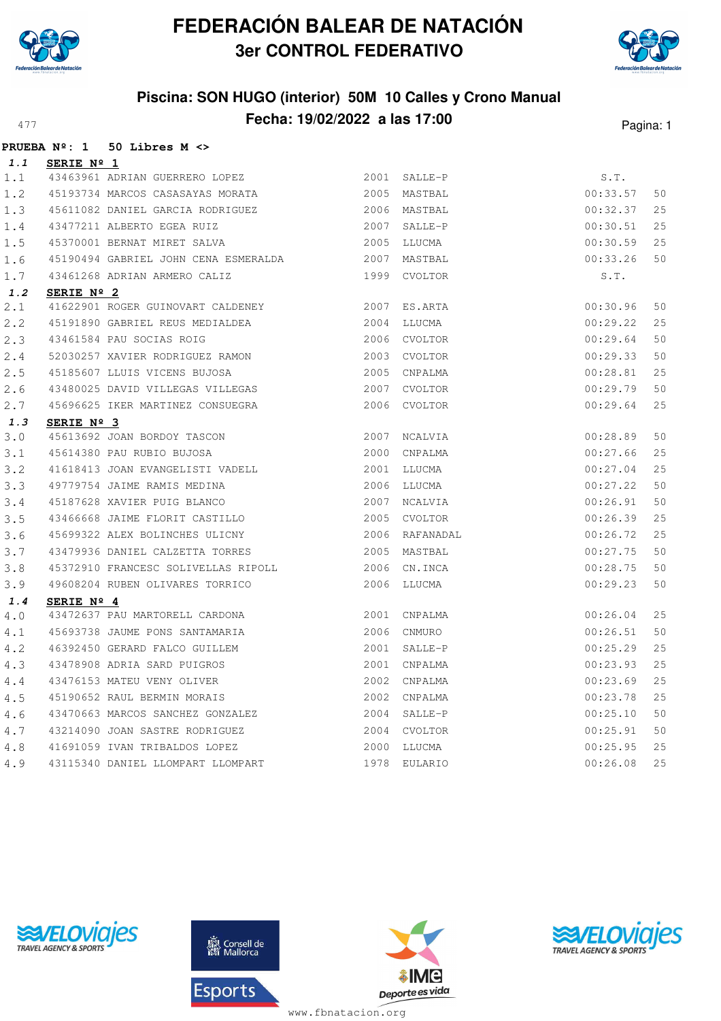

**PRUEBA Nº: 1 50 Libres M <>**

## **FEDERACIÓN BALEAR DE NATACIÓN 3er CONTROL FEDERATIVO**



| 1.1   | SERIE Nº 1                                                                                    |      |                |          |    |
|-------|-----------------------------------------------------------------------------------------------|------|----------------|----------|----|
| 1.1   | 43463961 ADRIAN GUERRERO LOPEZ                                                                |      | 2001 SALLE-P   | S.T.     |    |
| 1.2   | 45193734 MARCOS CASASAYAS MORATA                                                              |      | 2005 MASTBAL   | 00:33.57 | 50 |
| 1.3   |                                                                                               |      | 2006 MASTBAL   | 00:32.37 | 25 |
| 1.4   |                                                                                               | 2007 | SALLE-P        | 00:30.51 | 25 |
| 1.5   | 45611082 DANIEL GARCIA RODRIGUEZ<br>43477211 ALBERTO EGEA RUIZ<br>45370001 BERNAT MIRET SALVA |      | 2005 LLUCMA    | 00:30.59 | 25 |
| 1.6   | 45190494 GABRIEL JOHN CENA ESMERALDA                                                          |      | 2007 MASTBAL   | 00:33.26 | 50 |
| $1.7$ | 43461268 ADRIAN ARMERO CALIZ                                                                  |      | 1999 CVOLTOR   | S.T.     |    |
| 1.2   | SERIE Nº 2                                                                                    |      |                |          |    |
| 2.1   | 41622901 ROGER GUINOVART CALDENEY                                                             |      | 2007 ES.ARTA   | 00:30.96 | 50 |
| 2.2   | 45191890 GABRIEL REUS MEDIALDEA                                                               |      | 2004 LLUCMA    | 00:29.22 | 25 |
| 2.3   | 43461584 PAU SOCIAS ROIG                                                                      |      | 2006 CVOLTOR   | 00:29.64 | 50 |
| 2.4   | 52030257 XAVIER RODRIGUEZ RAMON                                                               |      | 2003 CVOLTOR   | 00:29.33 | 50 |
| 2.5   | 45185607 LLUIS VICENS BUJOSA                                                                  |      | 2005 CNPALMA   | 00:28.81 | 25 |
| 2.6   | 43480025 DAVID VILLEGAS VILLEGAS                                                              |      | 2007 CVOLTOR   | 00:29.79 | 50 |
| 2.7   | 45696625 IKER MARTINEZ CONSUEGRA                                                              |      | 2006 CVOLTOR   | 00:29.64 | 25 |
| 1.3   | SERIE Nº 3                                                                                    |      |                |          |    |
| 3.0   | 45613692 JOAN BORDOY TASCON                                                                   |      | 2007 NCALVIA   | 00:28.89 | 50 |
| 3.1   | 45614380 PAU RUBIO BUJOSA                                                                     |      | 2000 CNPALMA   | 00:27.66 | 25 |
| 3.2   | 41618413 JOAN EVANGELISTI VADELL 2001 LLUCMA                                                  |      |                | 00:27.04 | 25 |
| 3.3   | 49779754 JAIME RAMIS MEDINA                                                                   |      | 2006 LLUCMA    | 00:27.22 | 50 |
| 3.4   | 45187628 XAVIER PUIG BLANCO                                                                   |      | 2007 NCALVIA   | 00:26.91 | 50 |
| 3.5   | 43466668 JAIME FLORIT CASTILLO                                                                |      | 2005 CVOLTOR   | 00:26.39 | 25 |
| 3.6   | 45699322 ALEX BOLINCHES ULICNY                                                                |      | 2006 RAFANADAL | 00:26.72 | 25 |
| 3.7   | 43479936 DANIEL CALZETTA TORRES                                                               |      | 2005 MASTBAL   | 00:27.75 | 50 |
| 3.8   | 45372910 FRANCESC SOLIVELLAS RIPOLL                                                           |      | 2006 CN.INCA   | 00:28.75 | 50 |
| 3.9   | 49608204 RUBEN OLIVARES TORRICO                                                               |      | 2006 LLUCMA    | 00:29.23 | 50 |
| 1.4   | SERIE $N^{\circ}$ 4                                                                           |      |                |          |    |
| 4.0   | 43472637 PAU MARTORELL CARDONA                                                                |      | 2001 CNPALMA   | 00:26.04 | 25 |
| 4.1   | 45693738 JAUME PONS SANTAMARIA                                                                |      | 2006 CNMURO    | 00:26.51 | 50 |
| 4.2   | 46392450 GERARD FALCO GUILLEM                                                                 |      | 2001 SALLE-P   | 00:25.29 | 25 |
| 4.3   | 43478908 ADRIA SARD PUIGROS                                                                   |      | 2001 CNPALMA   | 00:23.93 | 25 |
| 4.4   | 43476153 MATEU VENY OLIVER                                                                    |      | 2002 CNPALMA   | 00:23.69 | 25 |
| 4.5   | 45190652 RAUL BERMIN MORAIS                                                                   |      | 2002 CNPALMA   | 00:23.78 | 25 |
| 4.6   | 43470663 MARCOS SANCHEZ GONZALEZ                                                              | 2004 | SALLE-P        | 00:25.10 | 50 |
| 4.7   | 43214090 JOAN SASTRE RODRIGUEZ                                                                |      | 2004 CVOLTOR   | 00:25.91 | 50 |
| 4.8   | 41691059 IVAN TRIBALDOS LOPEZ                                                                 | 2000 | LLUCMA         | 00:25.95 | 25 |
| 4.9   | 43115340 DANIEL LLOMPART LLOMPART                                                             | 1978 | EULARIO        | 00:26.08 | 25 |





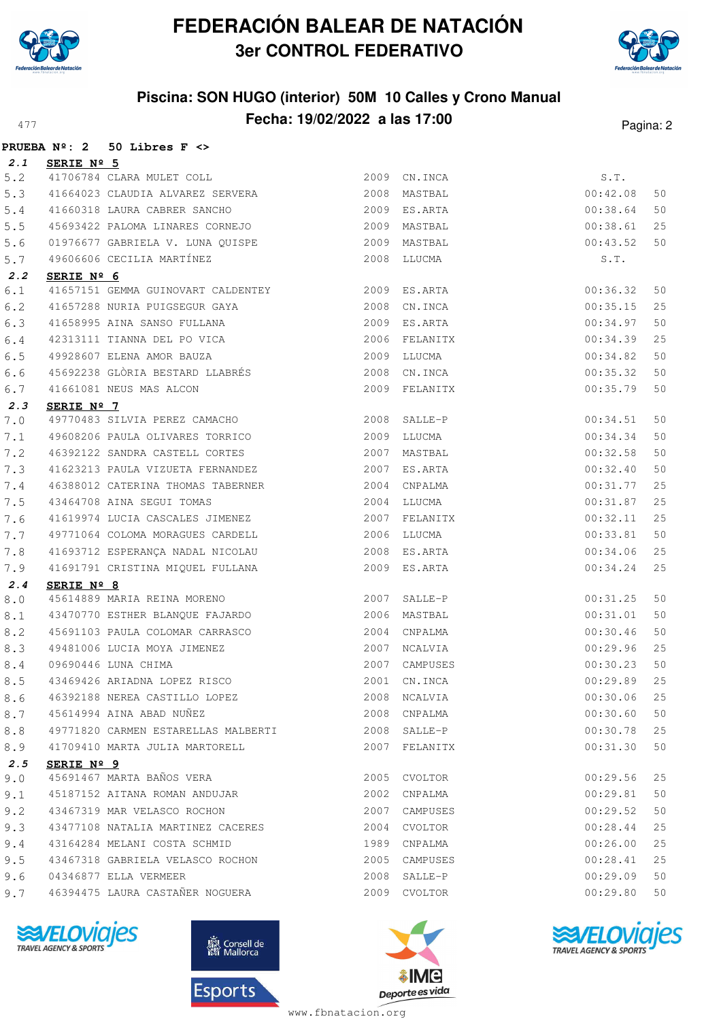



## **Piscina: SON HUGO (interior) 50M 10 Calles y Crono Manual Fecha: 19/02/2022 a las 17:00** Pagina: 2

|     |                     | PRUEBA $N^{\circ}$ : 2 50 Libres F <>                        |              |                               |                      |          |
|-----|---------------------|--------------------------------------------------------------|--------------|-------------------------------|----------------------|----------|
| 2.1 | SERIE Nº 5          |                                                              |              |                               |                      |          |
| 5.2 |                     | 41706784 CLARA MULET COLL                                    |              | 2009 CN. INCA                 | S.T.                 |          |
| 5.3 |                     | 41664023 CLAUDIA ALVAREZ SERVERA 2008 MASTBAL                |              |                               | 00:42.08             | 50       |
| 5.4 |                     | 41660318 LAURA CABRER SANCHO                                 | 2009 ES.ARTA |                               | 00:38.64             | 50       |
| 5.5 |                     | 45693422 PALOMA LINARES CORNEJO                              |              | 2009 MASTBAL                  | 00:38.61             | 25       |
| 5.6 |                     | 01976677 GABRIELA V. LUNA QUISPE 2009 MASTBAL                |              |                               | 00:43.52             | 50       |
| 5.7 |                     | 49606606 CECILIA MARTÍNEZ                                    |              | 2008 LLUCMA                   | S.T.                 |          |
| 2.2 | SERIE Nº 6          |                                                              |              |                               |                      |          |
| 6.1 |                     |                                                              |              |                               | 00:36.32             | 50       |
| 6.2 |                     | 41657288 NURIA PUIGSEGUR GAYA                                |              | 2008 CN.INCA                  | 00:35.15             | 25       |
| 6.3 |                     | 41658995 AINA SANSO FULLANA                                  |              | 2009 ES.ARTA                  | 00:34.97             | 50       |
| 6.4 |                     | 42313111 TIANNA DEL PO VICA                                  |              | 2006 FELANITX                 | 00:34.39             | 25       |
| 6.5 |                     | 49928607 ELENA AMOR BAUZA<br>45692238 GLÒRIA BESTARD LLABRÉS |              | 2009 LLUCMA                   | 00:34.82             | 50       |
| 6.6 |                     |                                                              |              | 2008 CN.INCA                  | 00:35.32             | 50       |
| 6.7 |                     | 41661081 NEUS MAS ALCON                                      |              | 2009 FELANITX                 | 00:35.79             | 50       |
| 2.3 | SERIE $N^{\circ}$ 7 |                                                              |              |                               |                      |          |
| 7.0 |                     | 49770483 SILVIA PEREZ CAMACHO                                |              | 2008 SALLE-P                  | 00:34.51             | 50       |
| 7.1 |                     | 49608206 PAULA OLIVARES TORRICO                              |              | 2009 LLUCMA                   | 00:34.34             | 50       |
| 7.2 |                     | 46392122 SANDRA CASTELL CORTES                               |              | 2007 MASTBAL                  | 00:32.58             | 50       |
| 7.3 |                     | 41623213 PAULA VIZUETA FERNANDEZ                             |              | 2007 ES.ARTA                  | 00:32.40             | 50       |
| 7.4 |                     | 46388012 CATERINA THOMAS TABERNER                            |              | 2004 CNPALMA                  | 00:31.77             | 25       |
| 7.5 |                     | 43464708 AINA SEGUI TOMAS                                    |              | 2004 LLUCMA                   | 00:31.87             | 25       |
| 7.6 |                     | 41619974 LUCIA CASCALES JIMENEZ                              |              | 2007 FELANITX                 | 00:32.11             | 25       |
| 7.7 |                     | 49771064 COLOMA MORAGUES CARDELL 2006 LLUCMA                 |              |                               | 00:33.81             | 50       |
| 7.8 |                     |                                                              |              |                               | 00:34.06             | 25       |
| 7.9 |                     | 41691791 CRISTINA MIQUEL FULLANA                             |              | 2009 ES.ARTA                  | 00:34.24             | 25       |
| 2.4 | SERIE Nº 8          |                                                              |              |                               |                      |          |
| 8.0 |                     | 45614889 MARIA REINA MORENO                                  |              | 2007 SALLE-P                  | 00:31.25             | 50       |
| 8.1 |                     | 43470770 ESTHER BLANQUE FAJARDO                              |              | 2006 MASTBAL                  | 00:31.01             | 50       |
| 8.2 |                     | 45691103 PAULA COLOMAR CARRASCO                              |              | 2004 CNPALMA                  | 00:30.46             | 50       |
| 8.3 |                     | 49481006 LUCIA MOYA JIMENEZ                                  |              | 2007 NCALVIA                  | 00:29.96             | 25       |
| 8.4 |                     | 09690446 LUNA CHIMA<br>43469426 ARIADNA LOPEZ RISCO          |              | 2007 CAMPUSES                 | 00:30.23             | 50       |
| 8.5 |                     |                                                              |              | 2001 CN. INCA                 | 00:29.89             | 25       |
| 8.6 |                     | 46392188 NEREA CASTILLO LOPEZ                                |              | 2008 NCALVIA                  | 00:30.06             | 25       |
| 8.7 |                     | 45614994 AINA ABAD NUÑEZ                                     |              | 2008 CNPALMA                  | 00:30.60             | 50       |
| 8.8 |                     | 49771820 CARMEN ESTARELLAS MALBERTI                          |              | 2008 SALLE-P                  | 00:30.78             | 25       |
| 8.9 |                     | 41709410 MARTA JULIA MARTORELL                               |              | 2007 FELANITX                 | 00:31.30             | 50       |
| 2.5 | SERIE Nº 9          | 45691467 MARTA BAÑOS VERA                                    |              |                               |                      |          |
| 9.0 |                     |                                                              | 2005         | CVOLTOR                       | 00:29.56             | 25       |
| 9.1 |                     | 45187152 AITANA ROMAN ANDUJAR<br>43467319 MAR VELASCO ROCHON |              | 2002 CNPALMA<br>2007 CAMPUSES | 00:29.81             | 50       |
| 9.2 |                     | 43477108 NATALIA MARTINEZ CACERES                            |              | 2004 CVOLTOR                  | 00:29.52<br>00:28.44 | 50       |
| 9.3 |                     | 43164284 MELANI COSTA SCHMID                                 |              | 1989 CNPALMA                  | 00:26.00             | 25<br>25 |
| 9.4 |                     | 43467318 GABRIELA VELASCO ROCHON                             |              |                               | 00:28.41             | 25       |
| 9.5 |                     |                                                              |              | 2005 CAMPUSES                 |                      |          |
| 9.6 |                     | 04346877 ELLA VERMEER                                        |              | 2008 SALLE-P                  | 00:29.09             | 50       |
| 9.7 |                     | 46394475 LAURA CASTAÑER NOGUERA                              |              | 2009 CVOLTOR                  | 00:29.80             | 50       |







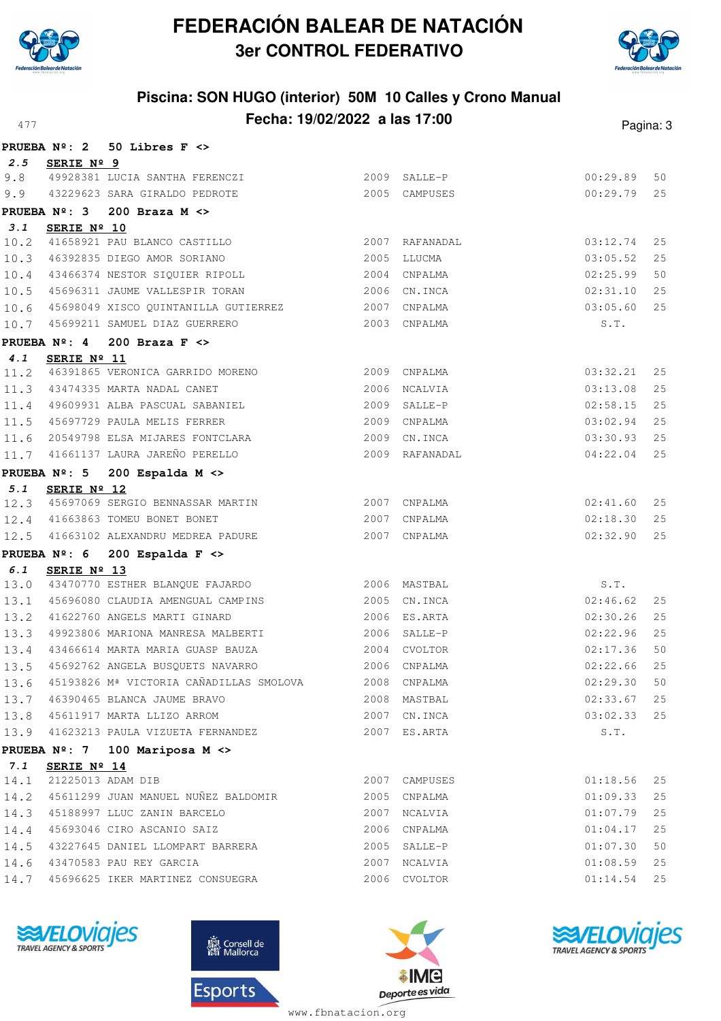



### **Piscina: SON HUGO (interior) 50M 10 Calles y Crono Manual Fecha: 19/02/2022 a las 17:00** Pagina: 3

|      |                                       | PRUEBA $N^{\circ}$ : 2 50 Libres F <>                  |              |                              |          |      |
|------|---------------------------------------|--------------------------------------------------------|--------------|------------------------------|----------|------|
|      | 2.5 SERIE Nº 9                        |                                                        |              |                              |          |      |
| 9.8  |                                       | 49928381 LUCIA SANTHA FERENCZI (2009 SALLE-P           |              |                              | 00:29.89 | 50   |
| 9.9  |                                       | 43229623 SARA GIRALDO PEDROTE                          |              | 2005 CAMPUSES                | 00:29.79 | 25   |
|      |                                       | PRUEBA $N^{\circ}$ : 3 200 Braza M <>                  |              |                              |          |      |
| 3.1  | SERIE Nº 10                           |                                                        |              |                              |          |      |
|      |                                       | 10.2 41658921 PAU BLANCO CASTILLO                      |              | 2007 RAFANADAL               | 03:12.74 | 25   |
|      |                                       | 10.3 46392835 DIEGO AMOR SORIANO                       |              | 2005 LLUCMA                  | 03:05.52 | 25   |
|      |                                       | 10.4 43466374 NESTOR SIQUIER RIPOLL                    |              | 2004 CNPALMA                 | 02:25.99 | 50   |
|      |                                       | 10.5 45696311 JAUME VALLESPIR TORAN 2006 CN.INCA       |              |                              | 02:31.10 | 25   |
|      |                                       | 10.6 45698049 XISCO QUINTANILLA GUTIERREZ 2007 CNPALMA |              |                              | 03:05.60 | 25   |
|      |                                       | 10.7 45699211 SAMUEL DIAZ GUERRERO                     |              | 2003 CNPALMA                 | S.T.     |      |
|      |                                       | PRUEBA $N^{\circ}$ : 4 200 Braza F <>                  |              |                              |          |      |
| 4.1  | SERIE Nº 11                           |                                                        |              |                              |          |      |
|      |                                       | 11.2 46391865 VERONICA GARRIDO MORENO 2009 CNPALMA     |              |                              | 03:32.21 | 25   |
|      |                                       | 11.3 43474335 MARTA NADAL CANET                        | 2006 NCALVIA |                              | 03:13.08 | 25   |
|      |                                       | 11.4 49609931 ALBA PASCUAL SABANIEL                    |              | 2009 SALLE-P                 | 02:58.15 | 25   |
|      |                                       | 11.5 45697729 PAULA MELIS FERRER                       |              | 2009 CNPALMA                 | 03:02.94 | 25   |
|      |                                       | 11.6 20549798 ELSA MIJARES FONTCLARA<br>2009 CN.INCA   |              |                              | 03:30.93 | 25   |
|      |                                       | 11.7 41661137 LAURA JAREÑO PERELLO (2009) RAFANADAL    |              |                              | 04:22.04 | 25   |
|      |                                       | PRUEBA Nº: 5 200 Espalda M <>                          |              |                              |          |      |
| 5.1  | SERIE Nº 12                           |                                                        |              |                              |          |      |
|      |                                       | 12.3 45697069 SERGIO BENNASSAR MARTIN 2007 CNPALMA     |              |                              | 02:41.60 | 25   |
|      |                                       | 12.4 41663863 TOMEU BONET BONET                        | 2007 CNPALMA |                              | 02:18.30 | 25   |
|      |                                       | 12.5 41663102 ALEXANDRU MEDREA PADURE                  |              | 2007 CNPALMA                 | 02:32.90 | 25   |
|      |                                       | PRUEBA $N^{\circ}$ : 6 200 Espalda F <>                |              |                              |          |      |
| 6.1  | SERIE Nº 13                           | 13.0 43470770 ESTHER BLANQUE FAJARDO 2006 MASTBAL      |              |                              | S.T.     |      |
|      |                                       | 13.1 45696080 CLAUDIA AMENGUAL CAMPINS                 |              | 2005 CN.INCA                 | 02:46.62 | 25   |
|      |                                       | 13.2 41622760 ANGELS MARTI GINARD                      |              | 2006 ES.ARTA                 | 02:30.26 | 25   |
|      |                                       | 13.3 49923806 MARIONA MANRESA MALBERTI                 |              | 2006 SALLE-P                 | 02:22.96 | 25   |
|      |                                       | 13.4 43466614 MARTA MARIA GUASP BAUZA 2004 CVOLTOR     |              |                              | 02:17.36 | 50   |
|      |                                       | 13.5 45692762 ANGELA BUSQUETS NAVARRO                  |              | 2006 CNPALMA                 | 02:22.66 | 25   |
| 13.6 |                                       | 45193826 Mª VICTORIA CAÑADILLAS SMOLOVA                |              |                              |          | 50   |
|      |                                       | 13.7 46390465 BLANCA JAUME BRAVO                       |              | 2008 CNPALMA<br>2008 MASTBAL | 02:29.30 | 25   |
|      |                                       |                                                        |              |                              | 02:33.67 |      |
|      |                                       | 13.8 45611917 MARTA LLIZO ARROM                        |              | 2007 CN.INCA                 | 03:02.33 | 25   |
|      |                                       | 13.9 41623213 PAULA VIZUETA FERNANDEZ                  |              | 2007 ES.ARTA                 | S.T.     |      |
|      |                                       | PRUEBA Nº: 7 100 Mariposa M <>                         |              |                              |          |      |
| 7.1  | SERIE Nº 14<br>14.1 21225013 ADAM DIB |                                                        |              | 2007 CAMPUSES                | 01:18.56 | 25   |
|      |                                       | 14.2 45611299 JUAN MANUEL NUÑEZ BALDOMIR               |              | 2005 CNPALMA                 | 01:09.33 | 25   |
|      |                                       | 14.3 45188997 LLUC ZANIN BARCELO                       |              | 2007 NCALVIA                 | 01:07.79 | 25   |
| 14.4 |                                       | 45693046 CIRO ASCANIO SAIZ                             |              | 2006 CNPALMA                 | 01:04.17 | 25   |
|      |                                       | 43227645 DANIEL LLOMPART BARRERA                       |              | 2005 SALLE-P                 | 01:07.30 | $50$ |
| 14.5 |                                       |                                                        |              |                              |          |      |
|      |                                       | 14.6 43470583 PAU REY GARCIA                           |              | 2007 NCALVIA                 | 01:08.59 | 25   |
| 14.7 |                                       | 45696625 IKER MARTINEZ CONSUEGRA                       |              | 2006 CVOLTOR                 | 01:14.54 | 25   |







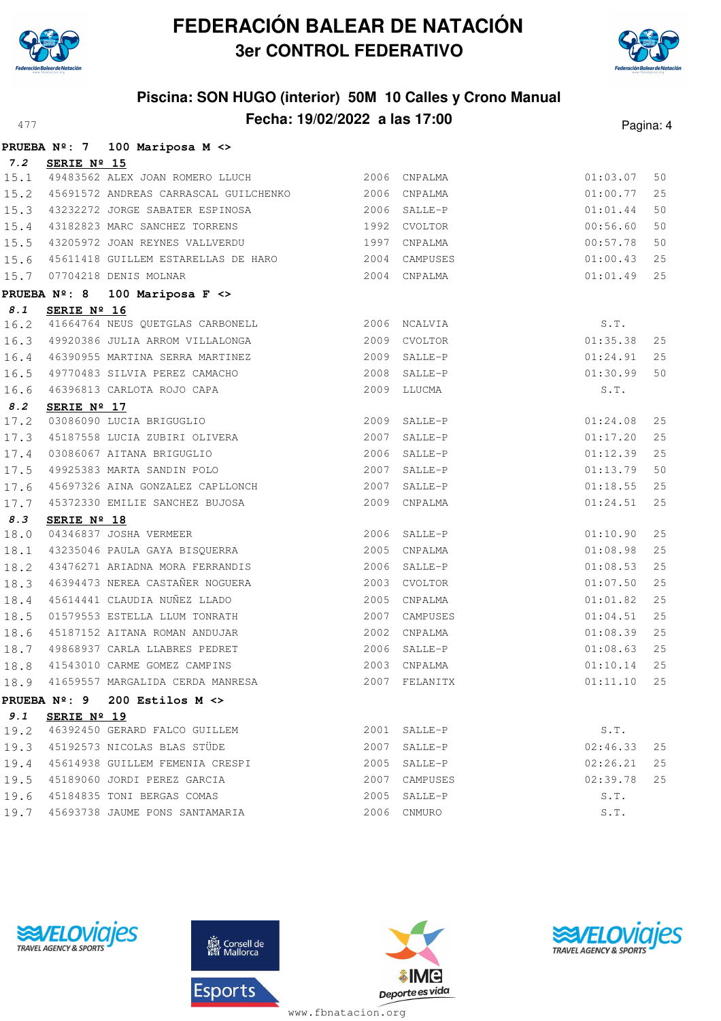



## **Piscina: SON HUGO (interior) 50M 10 Calles y Crono Manual Fecha: 19/02/2022 a las 17:00** Pagina: 4

|                    |                     | PRUEBA $N^{\circ}$ : 7 100 Mariposa M <>                                                                                                                                                                                               |      |                         |                      |    |
|--------------------|---------------------|----------------------------------------------------------------------------------------------------------------------------------------------------------------------------------------------------------------------------------------|------|-------------------------|----------------------|----|
|                    | 7.2 SERIE Nº 15     |                                                                                                                                                                                                                                        |      |                         |                      |    |
|                    |                     | 15.1 49483562 ALEX JOAN ROMERO LLUCH 2006 CNPALMA                                                                                                                                                                                      |      |                         | 01:03.07             | 50 |
| 15.2               |                     |                                                                                                                                                                                                                                        |      |                         | 01:00.77             | 25 |
|                    |                     | 15.3 43232272 JORGE SABATER ESPINOSA 2006 SALLE-P                                                                                                                                                                                      |      |                         | 01:01.44             | 50 |
|                    |                     | 15.4 43182823 MARC SANCHEZ TORRENS 1992 CVOLTOR                                                                                                                                                                                        |      |                         | 00:56.60             | 50 |
|                    |                     | 15.5 43205972 JOAN REYNES VALLVERDU 1997 CNPALMA                                                                                                                                                                                       |      |                         | 00:57.78             | 50 |
|                    |                     | 15.6 45611418 GUILLEM ESTARELLAS DE HARO 2004 CAMPUSES                                                                                                                                                                                 |      |                         | 01:00.43             | 25 |
| 15.7               |                     | 07704218 DENIS MOLNAR                                                                                                                                                                                                                  | 2004 | CNPALMA                 | 01:01.49             | 25 |
|                    |                     | PRUEBA Nº: 8 100 Mariposa F <>                                                                                                                                                                                                         |      |                         |                      |    |
| $\boldsymbol{8}.1$ | SERIE Nº 16         |                                                                                                                                                                                                                                        |      |                         |                      |    |
| 16.2               |                     | 41664764 NEUS QUETGLAS CARBONELL 2006 NCALVIA                                                                                                                                                                                          |      |                         | S.T.                 |    |
| 16.3               |                     | 49920386 JULIA ARROM VILLALONGA 2009 CVOLTOR                                                                                                                                                                                           |      |                         | 01:35.38             | 25 |
|                    |                     | 16.4 46390955 MARTINA SERRA MARTINEZ 2009 SALLE-P                                                                                                                                                                                      |      |                         | 01:24.91             | 25 |
| 16.5               |                     |                                                                                                                                                                                                                                        |      | 2008 SALLE-P            | 01:30.99             | 50 |
| 16.6               |                     | 49770483 SILVIA PEREZ CAMACHO<br>46396813 CARLOTA ROJO CAPA<br>----- :: :-                                                                                                                                                             |      | 2009 LLUCMA             | S.T.                 |    |
| 8.2                | SERIE Nº 17         |                                                                                                                                                                                                                                        |      |                         |                      | 25 |
|                    |                     | 17.2 03086090 LUCIA BRIGUGLIO<br>17.3 45187558 LUCIA ZUBIRI OLIVERA 2007                                                                                                                                                               |      | 2009 SALLE-P<br>SALLE-P | 01:24.08<br>01:17.20 | 25 |
| 17.4               |                     |                                                                                                                                                                                                                                        |      | 2006 SALLE-P            | 01:12.39             | 25 |
|                    |                     | 03086067 AITANA BRIGUGLIO<br>49925383 MARTA SANDIN POLO                                                                                                                                                                                |      | 2007 SALLE-P            |                      | 50 |
| 17.5               |                     | 45697326 AINA GONZALEZ CAPLLONCH 2007                                                                                                                                                                                                  |      |                         | 01:13.79             | 25 |
| 17.6<br>17.7       |                     |                                                                                                                                                                                                                                        | 2009 | SALLE-P<br>CNPALMA      | 01:18.55<br>01:24.51 | 25 |
| 8.3                |                     | 45372330 EMILIE SANCHEZ BUJOSA                                                                                                                                                                                                         |      |                         |                      |    |
| 18.0               | SERIE Nº 18         | 04346837 JOSHA VERMEER 2006 SALLE-P<br>43235046 PAULA GAYA BISQUERRA 2005 CNPALMA                                                                                                                                                      |      |                         | 01:10.90             | 25 |
| 18.1               |                     |                                                                                                                                                                                                                                        |      |                         | 01:08.98             | 25 |
| 18.2               |                     | 43476271 ARIADNA MORA FERRANDIS 2006 SALLE-P                                                                                                                                                                                           |      |                         | 01:08.53             | 25 |
|                    |                     | 18.3 46394473 NEREA CASTAÑER NOGUERA                                                                                                                                                                                                   | 2003 | CVOLTOR                 | 01:07.50             | 25 |
| 18.4               |                     |                                                                                                                                                                                                                                        | 2005 | CNPALMA                 | 01:01.82             | 25 |
| 18.5               |                     |                                                                                                                                                                                                                                        | 2007 | CAMPUSES                | 01:04.51             | 25 |
| 18.6               |                     |                                                                                                                                                                                                                                        | 2002 | CNPALMA                 | 01:08.39             | 25 |
| 18.7               |                     |                                                                                                                                                                                                                                        |      | 2006 SALLE-P            | 01:08.63             | 25 |
| 18.8               |                     |                                                                                                                                                                                                                                        |      | 2003 CNPALMA            | 01:10.14             | 25 |
| 18.9               |                     | 46394473 NEREA CASTANER NOGUERA<br>15614441 CLAUDIA NUÑEZ LLADO<br>01579553 ESTELLA LLUM TONRATH<br>45187152 AITANA ROMAN ANDUJAR<br>49868937 CARLA LLABRES PEDRET<br>41543010 CARME GOMEZ CAMPINS<br>41659557 MARGALIDA CERDA MANRESA |      | 2007 FELANITX           | 01:11.10             | 25 |
|                    | <b>PRUEBA Nº: 9</b> | 200 Estilos $M \leq$                                                                                                                                                                                                                   |      |                         |                      |    |
| 9.1                | SERIE Nº 19         |                                                                                                                                                                                                                                        |      |                         |                      |    |
| 19.2               |                     | 46392450 GERARD FALCO GUILLEM                                                                                                                                                                                                          |      | 2001 SALLE-P            | S.T.                 |    |
| 19.3               |                     | 45192573 NICOLAS BLAS STÜDE                                                                                                                                                                                                            | 2007 | SALLE-P                 | 02:46.33             | 25 |
| 19.4               |                     | 45614938 GUILLEM FEMENIA CRESPI                                                                                                                                                                                                        | 2005 | SALLE-P                 | 02:26.21             | 25 |
| 19.5               |                     | 45189060 JORDI PEREZ GARCIA                                                                                                                                                                                                            | 2007 | CAMPUSES                | 02:39.78             | 25 |
| 19.6               |                     | 45184835 TONI BERGAS COMAS                                                                                                                                                                                                             | 2005 | SALLE-P                 | S.T.                 |    |
| 19.7               |                     | 45693738 JAUME PONS SANTAMARIA                                                                                                                                                                                                         |      | 2006 CNMURO             | S.T.                 |    |
|                    |                     |                                                                                                                                                                                                                                        |      |                         |                      |    |







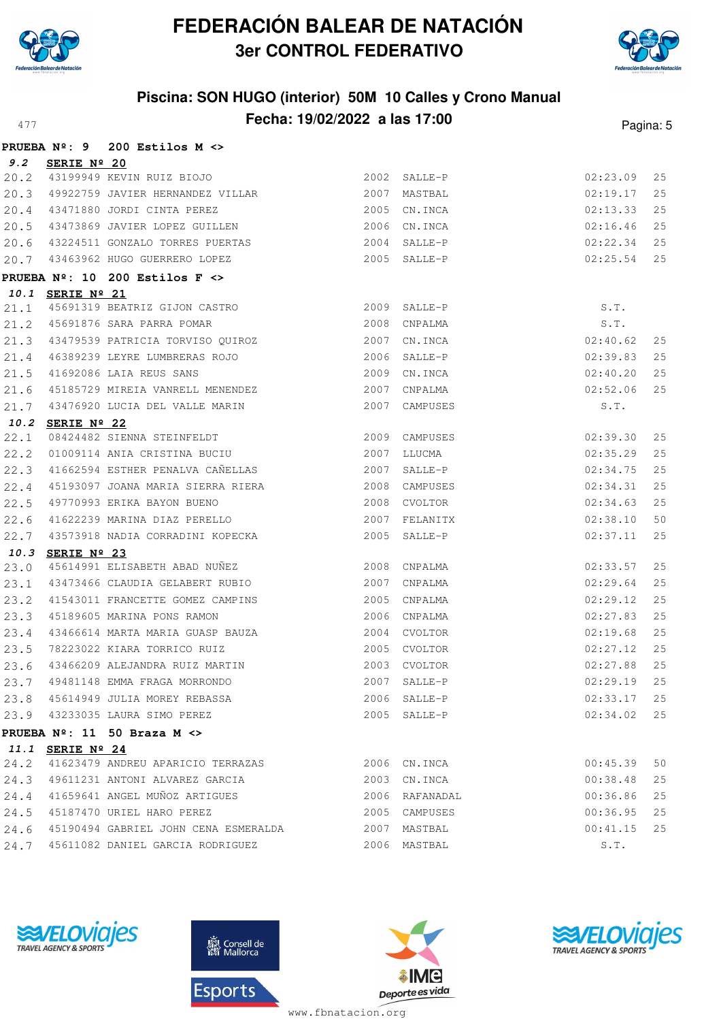



## **Piscina: SON HUGO (interior) 50M 10 Calles y Crono Manual Fecha: 19/02/2022 a las 17:00** Pagina: 5

|      | <b>PRUEBA Nº: 9</b> | $200$ Estilos M $\langle \rangle$                              |      |                |          |    |
|------|---------------------|----------------------------------------------------------------|------|----------------|----------|----|
| 9.2  | SERIE Nº 20         |                                                                |      |                |          |    |
| 20.2 |                     | 43199949 KEVIN RUIZ BIOJO                                      |      | 2002 SALLE-P   | 02:23.09 | 25 |
| 20.3 |                     | 49922759 JAVIER HERNANDEZ VILLAR                               |      | 2007 MASTBAL   | 02:19.17 | 25 |
| 20.4 |                     | 43471880 JORDI CINTA PEREZ                                     |      | 2005 CN.INCA   | 02:13.33 | 25 |
| 20.5 |                     | 43473869 JAVIER LOPEZ GUILLEN                                  |      | 2006 CN. INCA  | 02:16.46 | 25 |
| 20.6 |                     | 43224511 GONZALO TORRES PUERTAS                                |      | 2004 SALLE-P   | 02:22.34 | 25 |
| 20.7 |                     | 43463962 HUGO GUERRERO LOPEZ                                   |      | 2005 SALLE-P   | 02:25.54 | 25 |
|      |                     | PRUEBA $N^{\circ}$ : 10 200 Estilos F $\leftrightarrow$        |      |                |          |    |
|      | 10.1 SERIE Nº 21    |                                                                |      |                |          |    |
| 21.1 |                     |                                                                |      |                | S.T.     |    |
| 21.2 |                     | 45691876 SARA PARRA POMAR                                      |      | 2008 CNPALMA   | S.T.     |    |
| 21.3 |                     | 43479539 PATRICIA TORVISO QUIROZ                               |      | 2007 CN.INCA   | 02:40.62 | 25 |
| 21.4 |                     | 46389239 LEYRE LUMBRERAS ROJO                                  |      | 2006 SALLE-P   | 02:39.83 | 25 |
| 21.5 |                     | 41692086 LAIA REUS SANS                                        |      | 2009 CN. INCA  | 02:40.20 | 25 |
| 21.6 |                     | 45185729 MIREIA VANRELL MENENDEZ                               |      | 2007 CNPALMA   | 02:52.06 | 25 |
| 21.7 |                     | 43476920 LUCIA DEL VALLE MARIN                                 |      | 2007 CAMPUSES  | S.T.     |    |
|      | 10.2 SERIE Nº 22    |                                                                |      |                |          |    |
| 22.1 |                     | 08424482 SIENNA STEINFELDT<br>01009114 ANIA CRISTINA BUCIU     |      | 2009 CAMPUSES  | 02:39.30 | 25 |
| 22.2 |                     |                                                                |      | 2007 LLUCMA    | 02:35.29 | 25 |
| 22.3 |                     | 41662594 ESTHER PENALVA CAÑELLAS                               |      | 2007 SALLE-P   | 02:34.75 | 25 |
| 22.4 |                     | 45193097 JOANA MARIA SIERRA RIERA                              |      | 2008 CAMPUSES  | 02:34.31 | 25 |
| 22.5 |                     | 49770993 ERIKA BAYON BUENO                                     | 2008 | CVOLTOR        | 02:34.63 | 25 |
| 22.6 |                     | 41622239 MARINA DIAZ PERELLO                                   |      | 2007 FELANITX  | 02:38.10 | 50 |
| 22.7 |                     | 43573918 NADIA CORRADINI KOPECKA                               |      | 2005 SALLE-P   | 02:37.11 | 25 |
| 10.3 | SERIE Nº 23         |                                                                |      |                |          |    |
| 23.0 |                     | 45614991 ELISABETH ABAD NUÑEZ                                  |      | 2008 CNPALMA   | 02:33.57 | 25 |
| 23.1 |                     | 43473466 CLAUDIA GELABERT RUBIO                                | 2007 | CNPALMA        | 02:29.64 | 25 |
| 23.2 |                     | 41543011 FRANCETTE GOMEZ CAMPINS                               |      | 2005 CNPALMA   | 02:29.12 | 25 |
| 23.3 |                     | 45189605 MARINA PONS RAMON                                     |      | 2006 CNPALMA   | 02:27.83 | 25 |
| 23.4 |                     | 43466614 MARTA MARIA GUASP BAUZA                               |      | 2004 CVOLTOR   | 02:19.68 | 25 |
| 23.5 |                     | 78223022 KIARA TORRICO RUIZ                                    |      | 2005 CVOLTOR   | 02:27.12 | 25 |
| 23.6 |                     | 43466209 ALEJANDRA RUIZ MARTIN<br>49481148 EMMA FRAGA MORRONDO |      | 2003 CVOLTOR   | 02:27.88 | 25 |
| 23.7 |                     |                                                                | 2007 | SALLE-P        | 02:29.19 | 25 |
|      |                     | 23.8 45614949 JULIA MOREY REBASSA                              |      | 2006 SALLE-P   | 02:33.17 | 25 |
|      |                     | 23.9 43233035 LAURA SIMO PEREZ                                 |      | 2005 SALLE-P   | 02:34.02 | 25 |
|      |                     | PRUEBA $N^{\circ}$ : 11 50 Braza M $\leftrightarrow$           |      |                |          |    |
|      | 11.1 SERIE Nº 24    |                                                                |      |                |          |    |
| 24.2 |                     | 41623479 ANDREU APARICIO TERRAZAS                              |      | 2006 CN.INCA   | 00:45.39 | 50 |
|      |                     | 24.3 49611231 ANTONI ALVAREZ GARCIA                            |      | 2003 CN.INCA   | 00:38.48 | 25 |
|      |                     | 24.4 41659641 ANGEL MUÑOZ ARTIGUES                             |      | 2006 RAFANADAL | 00:36.86 | 25 |
| 24.5 |                     | 45187470 URIEL HARO PEREZ                                      |      | 2005 CAMPUSES  | 00:36.95 | 25 |
| 24.6 |                     | 45190494 GABRIEL JOHN CENA ESMERALDA                           |      | 2007 MASTBAL   | 00:41.15 | 25 |
| 24.7 |                     | 45611082 DANIEL GARCIA RODRIGUEZ                               |      | 2006 MASTBAL   | S.T.     |    |
|      |                     |                                                                |      |                |          |    |







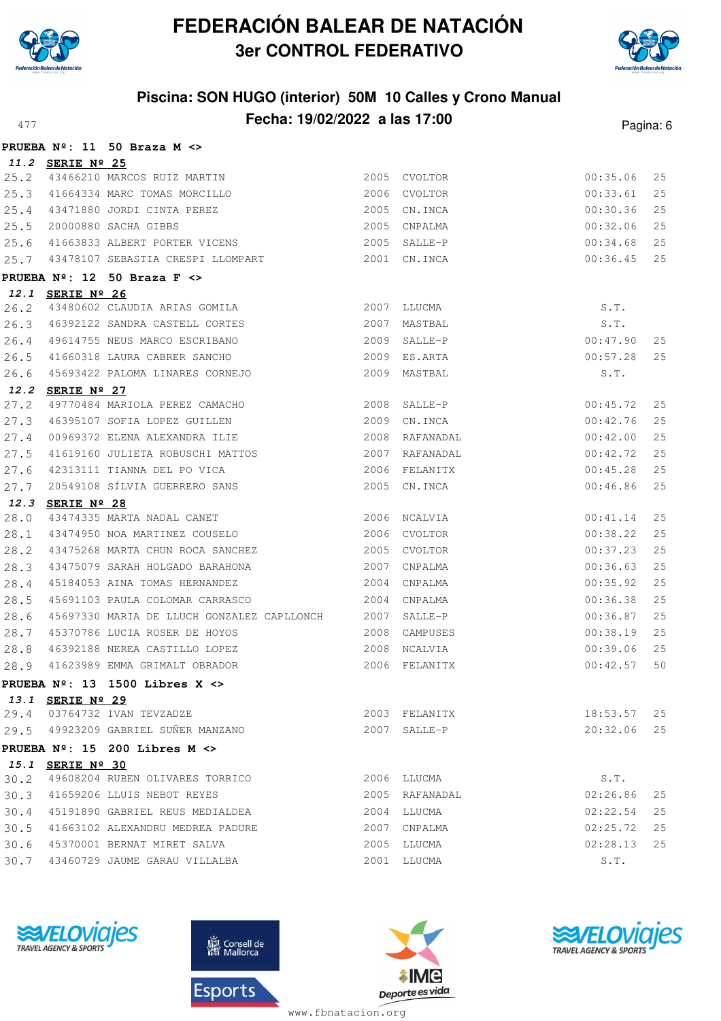



# **Piscina: SON HUGO (interior) 50M 10 Calles y Crono Manual Fecha: 19/02/2022 a las 17:00** Pagina: 6

|      |                  | PRUEBA $N^{\circ}$ : 11 50 Braza M <>                       |      |                |          |    |
|------|------------------|-------------------------------------------------------------|------|----------------|----------|----|
|      | 11.2 SERIE Nº 25 |                                                             |      |                |          |    |
| 25.2 |                  | 43466210 MARCOS RUIZ MARTIN<br>41664334 MARC TOMAS MORCILLO |      | 2005 CVOLTOR   | 00:35.06 | 25 |
| 25.3 |                  |                                                             |      | 2006 CVOLTOR   | 00:33.61 | 25 |
| 25.4 |                  | 43471880 JORDI CINTA PEREZ                                  |      | 2005 CN. INCA  | 00:30.36 | 25 |
| 25.5 |                  | 20000880 SACHA GIBBS                                        |      | 2005 CNPALMA   | 00:32.06 | 25 |
| 25.6 |                  | 41663833 ALBERT PORTER VICENS                               |      | 2005 SALLE-P   | 00:34.68 | 25 |
| 25.7 |                  | 43478107 SEBASTIA CRESPI LLOMPART 2001 CN.INCA              |      |                | 00:36.45 | 25 |
|      |                  | PRUEBA $N^{\circ}$ : 12 50 Braza F <>                       |      |                |          |    |
|      | 12.1 SERIE Nº 26 |                                                             |      |                |          |    |
| 26.2 |                  | 43480602 CLAUDIA ARIAS GOMILA                               |      | 2007 LLUCMA    | S.T.     |    |
| 26.3 |                  | 46392122 SANDRA CASTELL CORTES                              |      | 2007 MASTBAL   | S.T.     |    |
| 26.4 |                  | 49614755 NEUS MARCO ESCRIBANO                               |      | 2009 SALLE-P   | 00:47.90 | 25 |
| 26.5 |                  | 41660318 LAURA CABRER SANCHO                                |      | 2009 ES.ARTA   | 00:57.28 | 25 |
| 26.6 |                  | 45693422 PALOMA LINARES CORNEJO                             |      | 2009 MASTBAL   | S.T.     |    |
|      | 12.2 SERIE Nº 27 |                                                             |      |                |          |    |
| 27.2 |                  | 49770484 MARIOLA PEREZ CAMACHO                              |      | 2008 SALLE-P   | 00:45.72 | 25 |
| 27.3 |                  | 46395107 SOFIA LOPEZ GUILLEN 2009                           |      | CN.INCA        | 00:42.76 | 25 |
| 27.4 |                  | 00969372 ELENA ALEXANDRA ILIE                               |      | 2008 RAFANADAL | 00:42.00 | 25 |
| 27.5 |                  | 41619160 JULIETA ROBUSCHI MATTOS                            |      | 2007 RAFANADAL | 00:42.72 | 25 |
| 27.6 |                  | 42313111 TIANNA DEL PO VICA                                 |      | 2006 FELANITX  | 00:45.28 | 25 |
| 27.7 |                  | 20549108 SÍLVIA GUERRERO SANS                               |      | 2005 CN. INCA  | 00:46.86 | 25 |
| 12.3 | SERIE Nº 28      |                                                             |      |                |          |    |
| 28.0 |                  | 43474335 MARTA NADAL CANET                                  |      | 2006 NCALVIA   | 00:41.14 | 25 |
| 28.1 |                  | 43474950 NOA MARTINEZ COUSELO                               |      | 2006 CVOLTOR   | 00:38.22 | 25 |
| 28.2 |                  | 43475268 MARTA CHUN ROCA SANCHEZ                            |      | 2005 CVOLTOR   | 00:37.23 | 25 |
| 28.3 |                  | 43475079 SARAH HOLGADO BARAHONA                             |      | 2007 CNPALMA   | 00:36.63 | 25 |
| 28.4 |                  | 45184053 AINA TOMAS HERNANDEZ                               | 2004 | CNPALMA        | 00:35.92 | 25 |
| 28.5 |                  | 45691103 PAULA COLOMAR CARRASCO                             |      | 2004 CNPALMA   | 00:36.38 | 25 |
| 28.6 |                  | 45697330 MARIA DE LLUCH GONZALEZ CAPLLONCH 2007 SALLE-P     |      |                | 00:36.87 | 25 |
| 28.7 |                  | 45370786 LUCIA ROSER DE HOYOS                               |      | 2008 CAMPUSES  | 00:38.19 | 25 |
| 28.8 |                  | 46392188 NEREA CASTILLO LOPEZ                               |      | 2008 NCALVIA   | 00:39.06 | 25 |
| 28.9 |                  | 41623989 EMMA GRIMALT OBRADOR                               |      | 2006 FELANITX  | 00:42.57 | 50 |
|      |                  | PRUEBA $N^{\circ}$ : 13 1500 Libres X <>                    |      |                |          |    |
|      | 13.1 SERIE Nº 29 |                                                             |      |                |          |    |
|      |                  | 29.4 03764732 IVAN TEVZADZE                                 |      | 2003 FELANITX  | 18:53.57 | 25 |
|      |                  | 29.5 49923209 GABRIEL SUÑER MANZANO                         |      | 2007 SALLE-P   | 20:32.06 | 25 |
|      |                  | PRUEBA $N^{\circ}$ : 15 200 Libres M <>                     |      |                |          |    |
|      | 15.1 SERIE Nº 30 |                                                             |      |                |          |    |
| 30.2 |                  | 49608204 RUBEN OLIVARES TORRICO                             |      | 2006 LLUCMA    | S.T.     |    |
|      |                  | 30.3 41659206 LLUIS NEBOT REYES                             |      | 2005 RAFANADAL | 02:26.86 | 25 |
| 30.4 |                  | 45191890 GABRIEL REUS MEDIALDEA                             |      | 2004 LLUCMA    | 02:22.54 | 25 |
| 30.5 |                  | 41663102 ALEXANDRU MEDREA PADURE                            |      | 2007 CNPALMA   | 02:25.72 | 25 |
| 30.6 |                  | 45370001 BERNAT MIRET SALVA                                 |      | 2005 LLUCMA    | 02:28.13 | 25 |
| 30.7 |                  | 43460729 JAUME GARAU VILLALBA                               |      | 2001 LLUCMA    | S.T.     |    |
|      |                  |                                                             |      |                |          |    |







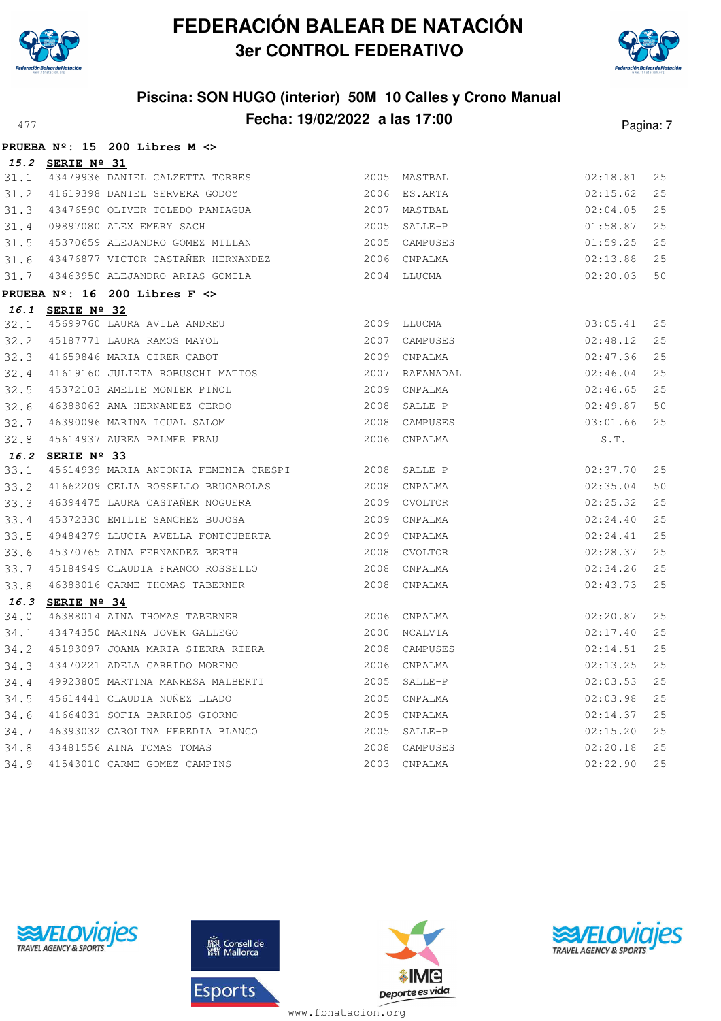



|      |                  | PRUEBA $N^{\circ}$ : 15 200 Libres M <>                              |              |                |          |     |
|------|------------------|----------------------------------------------------------------------|--------------|----------------|----------|-----|
|      | 15.2 SERIE Nº 31 |                                                                      |              |                |          |     |
|      |                  | 31.1 43479936 DANIEL CALZETTA TORRES                                 |              | 2005 MASTBAL   | 02:18.81 | 25  |
| 31.2 |                  | 41619398 DANIEL SERVERA GODOY                                        |              | 2006 ES.ARTA   | 02:15.62 | 25  |
|      |                  | 31.3 43476590 OLIVER TOLEDO PANIAGUA                                 |              | 2007 MASTBAL   | 02:04.05 | 25  |
| 31.4 |                  | 09897080 ALEX EMERY SACH                                             |              | 2005 SALLE-P   | 01:58.87 | 25  |
| 31.5 |                  | 45370659 ALEJANDRO GOMEZ MILLAN                                      |              | 2005 CAMPUSES  | 01:59.25 | 25  |
| 31.6 |                  | 43476877 VICTOR CASTAÑER HERNANDEZ                                   |              | 2006 CNPALMA   | 02:13.88 | 25  |
|      |                  | 31.7 43463950 ALEJANDRO ARIAS GOMILA                                 |              | 2004 LLUCMA    | 02:20.03 | 50  |
|      |                  | PRUEBA $N^{\circ}$ : 16 200 Libres F <>                              |              |                |          |     |
|      | 16.1 SERIE Nº 32 |                                                                      |              |                |          |     |
| 32.1 |                  | 45699760 LAURA AVILA ANDREU                                          |              | 2009 LLUCMA    | 03:05.41 | 25  |
| 32.2 |                  | 45187771 LAURA RAMOS MAYOL                                           | 2007         | CAMPUSES       | 02:48.12 | 25  |
| 32.3 |                  | 41659846 MARIA CIRER CABOT                                           |              | 2009 CNPALMA   | 02:47.36 | 25  |
| 32.4 |                  | 41619160 JULIETA ROBUSCHI MATTOS                                     |              | 2007 RAFANADAL | 02:46.04 | 25  |
| 32.5 |                  | 45372103 AMELIE MONIER PIÑOL                                         |              | 2009 CNPALMA   | 02:46.65 | 25  |
| 32.6 |                  | 46388063 ANA HERNANDEZ CERDO                                         |              | 2008 SALLE-P   | 02:49.87 | 50  |
| 32.7 |                  | 46390096 MARINA IGUAL SALOM                                          |              | 2008 CAMPUSES  | 03:01.66 | 25  |
| 32.8 |                  | 45614937 AUREA PALMER FRAU                                           |              | 2006 CNPALMA   | S.T.     |     |
|      | 16.2 SERIE Nº 33 |                                                                      |              |                |          |     |
| 33.1 |                  | 45614939 MARIA ANTONIA FEMENIA CRESPI                                | 2008 SALLE-P |                | 02:37.70 | 25  |
| 33.2 |                  | 41662209 CELIA ROSSELLO BRUGAROLAS                                   |              | 2008 CNPALMA   | 02:35.04 | 50  |
| 33.3 |                  | 46394475 LAURA CASTAÑER NOGUERA                                      |              | 2009 CVOLTOR   | 02:25.32 | 25  |
| 33.4 |                  | 45372330 EMILIE SANCHEZ BUJOSA                                       |              | 2009 CNPALMA   | 02:24.40 | 25  |
| 33.5 |                  | 49484379 LLUCIA AVELLA FONTCUBERTA<br>SEIREAREA IIIX PERMANDEZ REDTH |              | 2009 CNPALMA   | 02:24.41 | 25  |
| 33.6 |                  | 45370765 AINA FERNANDEZ BERTH                                        |              | 2008 CVOLTOR   | 02:28.37 | 25  |
| 33.7 |                  | 45184949 CLAUDIA FRANCO ROSSELLO                                     |              | 2008 CNPALMA   | 02:34.26 | 25  |
| 33.8 |                  | 46388016 CARME THOMAS TABERNER                                       |              | 2008 CNPALMA   | 02:43.73 | 25  |
|      | 16.3 SERIE Nº 34 |                                                                      |              |                |          |     |
| 34.0 |                  | 46388014 AINA THOMAS TABERNER                                        |              | 2006 CNPALMA   | 02:20.87 | 25  |
| 34.1 |                  | 43474350 MARINA JOVER GALLEGO                                        |              | 2000 NCALVIA   | 02:17.40 | 25  |
| 34.2 |                  | 45193097 JOANA MARIA SIERRA RIERA                                    |              | 2008 CAMPUSES  | 02:14.51 | 25  |
| 34.3 |                  | 43470221 ADELA GARRIDO MORENO                                        |              | 2006 CNPALMA   | 02:13.25 | 25  |
| 34.4 |                  | 49923805 MARTINA MANRESA MALBERTI                                    |              | 2005 SALLE-P   | 02:03.53 | 25  |
| 34.5 |                  | 45614441 CLAUDIA NUÑEZ LLADO                                         |              | 2005 CNPALMA   | 02:03.98 | 25  |
| 34.6 |                  | 41664031 SOFIA BARRIOS GIORNO                                        |              | 2005 CNPALMA   | 02:14.37 | 25  |
| 34.7 |                  | 46393032 CAROLINA HEREDIA BLANCO                                     |              | 2005 SALLE-P   | 02:15.20 | 25  |
| 34.8 |                  |                                                                      |              | 2008 CAMPUSES  | 02:20.18 | 25  |
| 34.9 |                  | 43481556 AINA TOMAS TOMAS<br>41543010 CARME GOMEZ CAMPINS            |              | 2003 CNPALMA   | 02:22.90 | 2.5 |





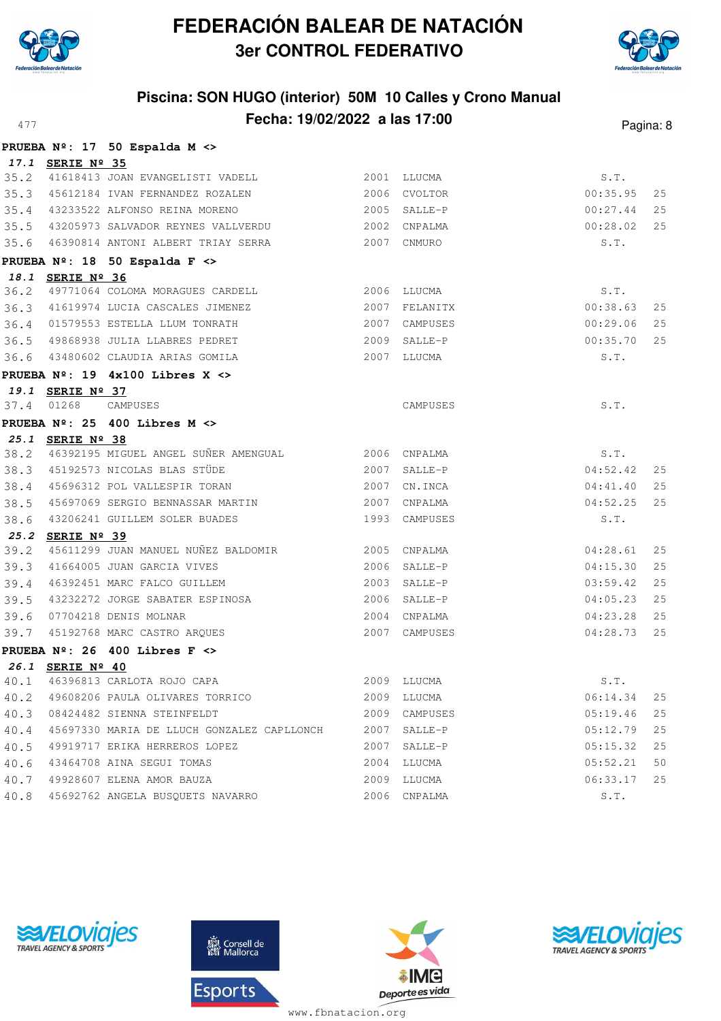



|      |                  | PRUEBA Nº: 17 50 Espalda M <>                           |             |               |          |    |
|------|------------------|---------------------------------------------------------|-------------|---------------|----------|----|
|      | 17.1 SERIE Nº 35 |                                                         |             |               |          |    |
|      |                  | 35.2 41618413 JOAN EVANGELISTI VADELL                   |             | 2001 LLUCMA   | S.T.     |    |
|      |                  | 35.3 45612184 IVAN FERNANDEZ ROZALEN 2006 CVOLTOR       |             |               | 00:35.95 | 25 |
|      |                  | 35.4 43233522 ALFONSO REINA MORENO                      |             | 2005 SALLE-P  | 00:27.44 | 25 |
|      |                  | 35.5 43205973 SALVADOR REYNES VALLVERDU                 |             | 2002 CNPALMA  | 00:28.02 | 25 |
|      |                  | 35.6 46390814 ANTONI ALBERT TRIAY SERRA                 |             | 2007 CNMURO   | S.T.     |    |
|      |                  | PRUEBA Nº: 18 50 Espalda F <>                           |             |               |          |    |
|      | 18.1 SERIE Nº 36 |                                                         |             |               |          |    |
|      |                  | 36.2 49771064 COLOMA MORAGUES CARDELL                   | 2006 LLUCMA |               | S.T.     |    |
|      |                  | 36.3 41619974 LUCIA CASCALES JIMENEZ                    |             | 2007 FELANITX | 00:38.63 | 25 |
|      |                  | 36.4 01579553 ESTELLA LLUM TONRATH                      |             | 2007 CAMPUSES | 00:29.06 | 25 |
|      |                  | 36.5 49868938 JULIA LLABRES PEDRET                      |             | 2009 SALLE-P  | 00:35.70 | 25 |
|      |                  | 36.6 43480602 CLAUDIA ARIAS GOMILA                      |             | 2007 LLUCMA   | S.T.     |    |
|      |                  | PRUEBA $N^2$ : 19 4x100 Libres X <>                     |             |               |          |    |
|      | 19.1 SERIE Nº 37 |                                                         |             |               |          |    |
| 37.4 | 01268            | CAMPUSES                                                |             | CAMPUSES      | S.T.     |    |
|      |                  | PRUEBA Nº: 25 400 Libres M <>                           |             |               |          |    |
|      | 25.1 SERIE Nº 38 |                                                         |             |               |          |    |
|      |                  | 38.2 46392195 MIGUEL ANGEL SUÑER AMENGUAL 2006 CNPALMA  |             |               | S.T.     |    |
|      |                  | 38.3 45192573 NICOLAS BLAS STÜDE<br>$2007$ SALLE-P      |             |               | 04:52.42 | 25 |
|      |                  | 38.4 45696312 POL VALLESPIR TORAN                       |             | 2007 CN. INCA | 04:41.40 | 25 |
|      |                  | 38.5 45697069 SERGIO BENNASSAR MARTIN                   |             | 2007 CNPALMA  | 04:52.25 | 25 |
| 38.6 |                  | 43206241 GUILLEM SOLER BUADES                           |             | 1993 CAMPUSES | S.T.     |    |
|      | 25.2 SERIE Nº 39 | 45611299 JUAN MANUEL NUÑEZ BALDOMIR 2005 CNPALMA        |             |               |          |    |
| 39.2 |                  |                                                         |             |               | 04:28.61 | 25 |
| 39.3 |                  | 41664005 JUAN GARCIA VIVES                              |             | 2006 SALLE-P  | 04:15.30 | 25 |
|      |                  | 39.4 46392451 MARC FALCO GUILLEM                        |             | 2003 SALLE-P  | 03:59.42 | 25 |
|      |                  | 39.5 43232272 JORGE SABATER ESPINOSA                    |             | 2006 SALLE-P  | 04:05.23 | 25 |
|      |                  | 39.6 07704218 DENIS MOLNAR                              |             | 2004 CNPALMA  | 04:23.28 | 25 |
|      |                  | 39.7 45192768 MARC CASTRO ARQUES                        |             | 2007 CAMPUSES | 04:28.73 | 25 |
|      |                  | PRUEBA $N^{\circ}$ : 26 400 Libres F <>                 |             |               |          |    |
|      | 26.1 SERIE Nº 40 | 40.1 46396813 CARLOTA ROJO CAPA                         |             | 2009 LLUCMA   | S.T.     |    |
| 40.2 |                  | 49608206 PAULA OLIVARES TORRICO                         |             | 2009 LLUCMA   | 06:14.34 | 25 |
|      |                  | 40.3 08424482 SIENNA STEINFELDT                         |             | 2009 CAMPUSES | 05:19.46 | 25 |
|      |                  | 45697330 MARIA DE LLUCH GONZALEZ CAPLLONCH 2007 SALLE-P |             |               | 05:12.79 | 25 |
| 40.4 |                  | 49919717 ERIKA HERREROS LOPEZ                           | 2007        |               | 05:15.32 | 25 |
| 40.5 |                  | 43464708 AINA SEGUI TOMAS                               | 2004        | SALLE-P       |          | 50 |
| 40.6 |                  |                                                         |             | LLUCMA        | 05:52.21 |    |
| 40.7 |                  | 49928607 ELENA AMOR BAUZA                               |             | 2009 LLUCMA   | 06:33.17 | 25 |
| 40.8 |                  | 45692762 ANGELA BUSQUETS NAVARRO                        |             | 2006 CNPALMA  | S.T.     |    |







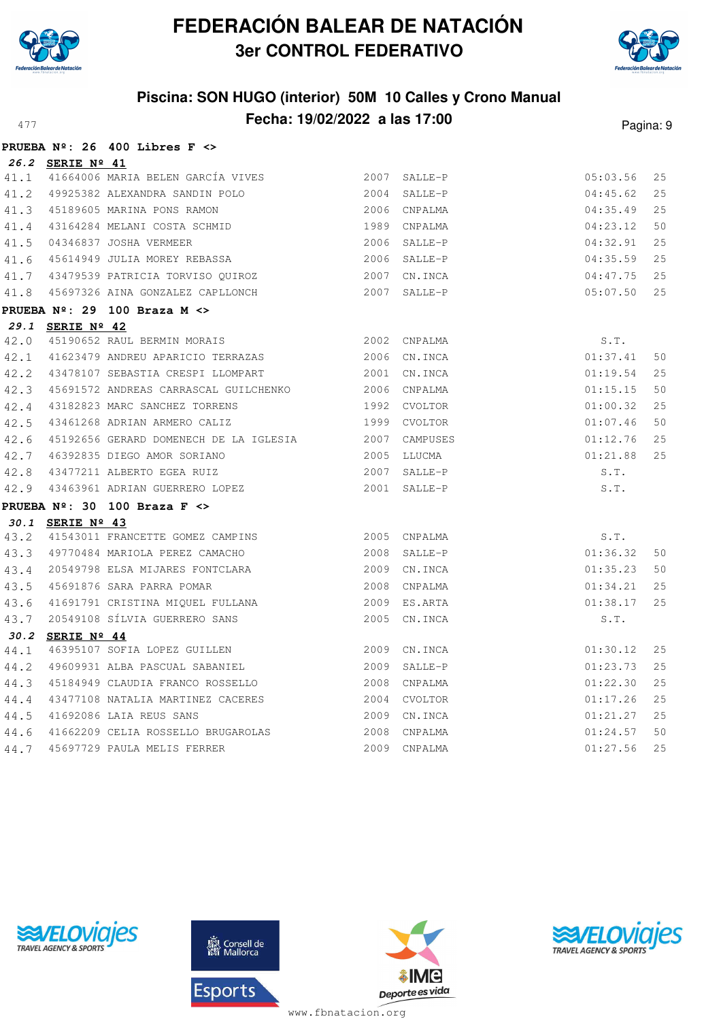



# **Piscina: SON HUGO (interior) 50M 10 Calles y Crono Manual Fecha: 19/02/2022 a las 17:00** Pagina: 9

|      |                  | PRUEBA $N^{\circ}$ : 26 400 Libres F <>                                                                                                                           |                |               |          |    |
|------|------------------|-------------------------------------------------------------------------------------------------------------------------------------------------------------------|----------------|---------------|----------|----|
|      | 26.2 SERIE Nº 41 |                                                                                                                                                                   |                |               |          |    |
|      |                  | 41.1 41664006 MARIA BELEN GARCÍA VIVES                                                                                                                            |                | 2007 SALLE-P  | 05:03.56 | 25 |
|      |                  | 41.2 49925382 ALEXANDRA SANDIN POLO                                                                                                                               |                | 2004 SALLE-P  | 04:45.62 | 25 |
|      |                  |                                                                                                                                                                   |                | 2006 CNPALMA  | 04:35.49 | 25 |
|      |                  |                                                                                                                                                                   |                | 1989 CNPALMA  | 04:23.12 | 50 |
|      |                  | 41.3 45189605 MARINA PONS RAMON<br>41.4 43164284 MELANI COSTA SCHMID<br>41.5 04346837 JOSHA VERMEER<br>41.6 45614949 JULIA MOREY REBASSA<br>41.7 43479529 DITILER |                | 2006 SALLE-P  | 04:32.91 | 25 |
|      |                  |                                                                                                                                                                   |                | 2006 SALLE-P  | 04:35.59 | 25 |
|      |                  | 41.7 43479539 PATRICIA TORVISO QUIROZ                                                                                                                             |                | 2007 CN.INCA  | 04:47.75 | 25 |
|      |                  | 41.8 45697326 AINA GONZALEZ CAPLLONCH                                                                                                                             |                | 2007 SALLE-P  | 05:07.50 | 25 |
|      |                  | PRUEBA $N^{\circ}$ : 29 100 Braza M <>                                                                                                                            |                |               |          |    |
|      | 29.1 SERIE Nº 42 |                                                                                                                                                                   |                |               |          |    |
|      |                  | 42.0 45190652 RAUL BERMIN MORAIS 2002 CNPALMA                                                                                                                     |                |               | S.T.     |    |
|      |                  | 42.1 41623479 ANDREU APARICIO TERRAZAS 2006 CN.INCA                                                                                                               |                |               | 01:37.41 | 50 |
|      |                  | 42.2 43478107 SEBASTIA CRESPI LLOMPART                                                                                                                            |                | 2001 CN.INCA  | 01:19.54 | 25 |
|      |                  | 42.3 45691572 ANDREAS CARRASCAL GUILCHENKO 2006 CNPALMA                                                                                                           |                |               | 01:15.15 | 50 |
|      |                  | 42.4 43182823 MARC SANCHEZ TORRENS                                                                                                                                | 1992 CVOLTOR   |               | 01:00.32 | 25 |
|      |                  | 42.5 43461268 ADRIAN ARMERO CALIZ 1999 CVOLTOR                                                                                                                    |                |               | 01:07.46 | 50 |
|      |                  | 42.6 45192656 GERARD DOMENECH DE LA IGLESIA 2007 CAMPUSES                                                                                                         |                |               | 01:12.76 | 25 |
|      |                  | 42.7 46392835 DIEGO AMOR SORIANO                                                                                                                                  | 2005 LLUCMA    |               | 01:21.88 | 25 |
|      |                  | 42.8 43477211 ALBERTO EGEA RUIZ                                                                                                                                   | $2007$ SALLE-P |               | S.T.     |    |
|      |                  | 42.9 43463961 ADRIAN GUERRERO LOPEZ 2001 SALLE-P                                                                                                                  |                |               | S.T.     |    |
|      |                  | PRUEBA $N^{\circ}$ : 30 100 Braza F <>                                                                                                                            |                |               |          |    |
|      | 30.1 SERIE Nº 43 |                                                                                                                                                                   |                |               |          |    |
|      |                  | 43.2 41543011 FRANCETTE GOMEZ CAMPINS 2005 CNPALMA                                                                                                                |                |               | S.T.     |    |
|      |                  | 43.3 49770484 MARIOLA PEREZ CAMACHO 2008 SALLE-P                                                                                                                  |                |               | 01:36.32 | 50 |
|      |                  | 43.4 20549798 ELSA MIJARES FONTCLARA 2009 CN.INCA                                                                                                                 |                |               | 01:35.23 | 50 |
|      |                  | 43.5 45691876 SARA PARRA POMAR                                                                                                                                    | 2008 CNPALMA   |               | 01:34.21 | 25 |
|      |                  | 43.6 41691791 CRISTINA MIQUEL FULLANA 2009 ES.ARTA                                                                                                                |                |               | 01:38.17 | 25 |
|      |                  | 43.7 20549108 SÍLVIA GUERRERO SANS                                                                                                                                |                | 2005 CN. INCA | S.T.     |    |
|      | 30.2 SERIE Nº 44 |                                                                                                                                                                   |                |               |          |    |
| 44.1 |                  | 46395107 SOFIA LOPEZ GUILLEN 2009 CN.INCA                                                                                                                         |                |               | 01:30.12 | 25 |
|      |                  | 44.2 49609931 ALBA PASCUAL SABANIEL                                                                                                                               |                | 2009 SALLE-P  | 01:23.73 | 25 |
|      |                  | 44.3 45184949 CLAUDIA FRANCO ROSSELLO                                                                                                                             |                | 2008 CNPALMA  | 01:22.30 | 25 |
|      |                  | 44.4 43477108 NATALIA MARTINEZ CACERES 2004 CVOLTOR                                                                                                               |                |               | 01:17.26 | 25 |
|      |                  | 44.5 41692086 LAIA REUS SANS                                                                                                                                      | 2009 CN.INCA   |               | 01:21.27 | 25 |
|      |                  | 44.6 41662209 CELIA ROSSELLO BRUGAROLAS 2008 CNPALMA                                                                                                              |                |               | 01:24.57 | 50 |
| 44.7 |                  | 45697729 PAULA MELIS FERRER                                                                                                                                       |                | 2009 CNPALMA  | 01:27.56 | 25 |





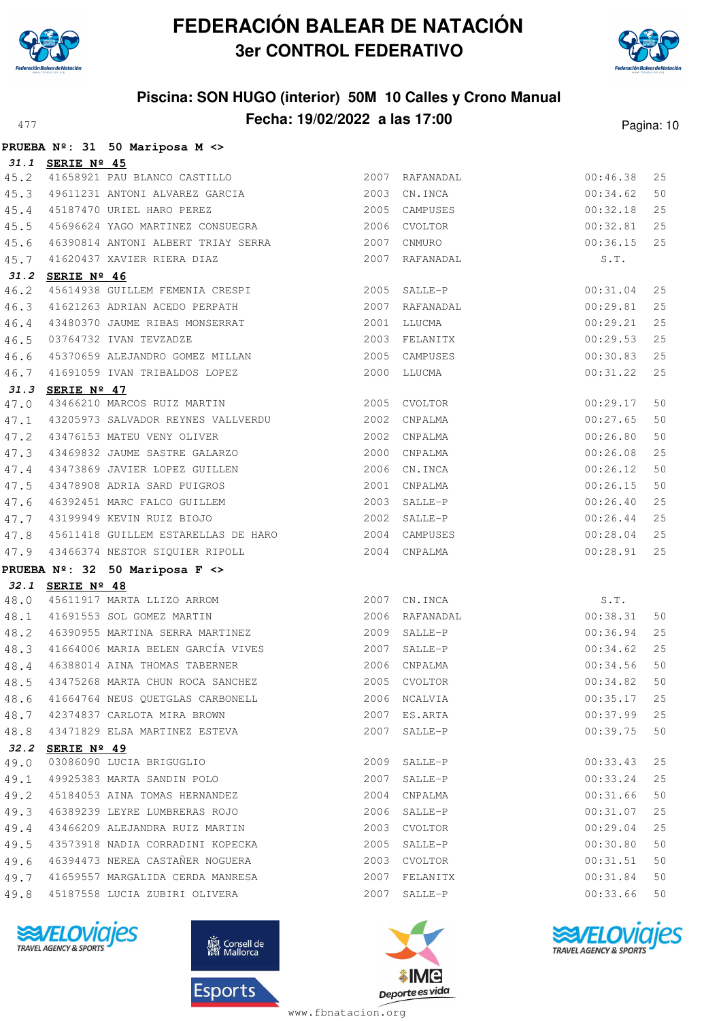



# **Piscina: SON HUGO (interior) 50M 10 Calles y Crono Manual Fecha: 19/02/2022 a las 17:00** Pagina: 10

|              |                      | PRUEBA Nº: 31 50 Mariposa M <>                                        |      |                            |          |    |
|--------------|----------------------|-----------------------------------------------------------------------|------|----------------------------|----------|----|
|              | 31.1 SERIE Nº 45     |                                                                       |      |                            |          |    |
|              |                      | 45.2 41658921 PAU BLANCO CASTILLO                                     |      | 2007 RAFANADAL             | 00:46.38 | 25 |
|              |                      | 45.3 49611231 ANTONI ALVAREZ GARCIA                                   |      | 2003 CN.INCA               | 00:34.62 | 50 |
| 45.4         |                      | 45187470 URIEL HARO PEREZ                                             |      | 2005 CAMPUSES              | 00:32.18 | 25 |
| 45.5         |                      |                                                                       |      |                            | 00:32.81 | 25 |
| 45.6         |                      | 46390814 ANTONI ALBERT TRIAY SERRA 2007 CNMURO                        |      |                            | 00:36.15 | 25 |
| 45.7         |                      | 41620437 XAVIER RIERA DIAZ                                            |      | 2007 RAFANADAL             | S.T.     |    |
| 31.2         | SERIE Nº 46          |                                                                       |      |                            |          |    |
| 46.2         |                      | 45614938 GUILLEM FEMENIA CRESPI 2005 SALLE-P                          |      |                            | 00:31.04 | 25 |
| 46.3         |                      | 41621263 ADRIAN ACEDO PERPATH 2007 RAFANADAL                          |      |                            | 00:29.81 | 25 |
| 46.4         |                      | 43480370 JAUME RIBAS MONSERRAT                                        |      | 2001 LLUCMA                | 00:29.21 | 25 |
| 46.5         |                      | 03764732 IVAN TEVZADZE                                                |      | 2003 FELANITX              | 00:29.53 | 25 |
| 46.6         |                      | 45370659 ALEJANDRO GOMEZ MILLAN 2005 CAMPUSES                         |      |                            | 00:30.83 | 25 |
| 46.7         |                      | 41691059 IVAN TRIBALDOS LOPEZ 2000 LLUCMA                             |      |                            | 00:31.22 | 25 |
|              | 31.3 SERIE Nº 47     |                                                                       |      |                            |          |    |
| 47.0         |                      | 43466210 MARCOS RUIZ MARTIN                                           |      | 2005 CVOLTOR               | 00:29.17 | 50 |
| 47.1         |                      | 43205973 SALVADOR REYNES VALLVERDU 2002 CNPALMA                       |      |                            | 00:27.65 | 50 |
| 47.2         |                      | 43476153 MATEU VENY OLIVER                                            |      | 2002 CNPALMA               | 00:26.80 | 50 |
| 47.3         |                      | 43469832 JAUME SASTRE GALARZO                                         |      | 2000 CNPALMA               | 00:26.08 | 25 |
| 47.4         |                      | 43473869 JAVIER LOPEZ GUILLEN                                         |      | 2006 CN.INCA               | 00:26.12 | 50 |
| 47.5         |                      | 43478908 ADRIA SARD PUIGROS                                           |      | 2001 CNPALMA               | 00:26.15 | 50 |
| 47.6         |                      | 46392451 MARC FALCO GUILLEM 2003 SALLE-P                              |      |                            | 00:26.40 | 25 |
|              |                      | 47.7 43199949 KEVIN RUIZ BIOJO                                        |      | 2002 SALLE-P               | 00:26.44 | 25 |
|              |                      | 47.8 45611418 GUILLEM ESTARELLAS DE HARO                              |      | 2004 CAMPUSES              | 00:28.04 | 25 |
|              |                      | 47.9 43466374 NESTOR SIQUIER RIPOLL                                   |      | 2004 CNPALMA               | 00:28.91 | 25 |
|              |                      | PRUEBA Nº: 32 50 Mariposa F <>                                        |      |                            |          |    |
|              | 32.1 SERIE Nº 48     | $32.1$ $5611917$ MARTA LLIZO ARROM<br>48.0 45611917 MARTA LLIZO ARROM |      | 2007 CN.INCA               | S.T.     |    |
| 48.1         |                      | 41691553 SOL GOMEZ MARTIN                                             |      | 2006 RAFANADAL<br>00:38.31 |          | 50 |
|              |                      | 48.2 46390955 MARTINA SERRA MARTINEZ 2009 SALLE-P                     |      |                            | 00:36.94 | 25 |
|              |                      | 48.3 41664006 MARIA BELEN GARCÍA VIVES 2007 SALLE-P                   |      |                            | 00:34.62 | 25 |
| 48.4         |                      | 46388014 AINA THOMAS TABERNER                                         |      | 2006 CNPALMA               | 00:34.56 | 50 |
|              |                      | 43475268 MARTA CHUN ROCA SANCHEZ                                      |      | 2005 CVOLTOR               | 00:34.82 | 50 |
| 48.5<br>48.6 |                      | 41664764 NEUS QUETGLAS CARBONELL                                      |      | 2006 NCALVIA               | 00:35.17 | 25 |
| 48.7         |                      | 42374837 CARLOTA MIRA BROWN                                           |      | 2007 ES.ARTA               | 00:37.99 | 25 |
| 48.8         |                      | 43471829 ELSA MARTINEZ ESTEVA                                         |      | 2007 SALLE-P               | 00:39.75 | 50 |
|              |                      |                                                                       |      |                            |          |    |
| 32.2<br>49.0 | SERIE $N^{\circ}$ 49 | 03086090 LUCIA BRIGUGLIO                                              |      | 2009 SALLE-P               | 00:33.43 | 25 |
| 49.1         |                      | 49925383 MARTA SANDIN POLO                                            | 2007 | SALLE-P                    | 00:33.24 | 25 |
| 49.2         |                      | 45184053 AINA TOMAS HERNANDEZ                                         |      | 2004 CNPALMA               | 00:31.66 | 50 |
| 49.3         |                      | 46389239 LEYRE LUMBRERAS ROJO                                         |      | 2006 SALLE-P               | 00:31.07 | 25 |
| 49.4         |                      | 43466209 ALEJANDRA RUIZ MARTIN                                        |      | 2003 CVOLTOR               | 00:29.04 | 25 |
| 49.5         |                      | 43573918 NADIA CORRADINI KOPECKA                                      |      | 2005 SALLE-P               | 00:30.80 | 50 |
| 49.6         |                      | 46394473 NEREA CASTAÑER NOGUERA                                       |      | 2003 CVOLTOR               | 00:31.51 | 50 |
| 49.7         |                      | 41659557 MARGALIDA CERDA MANRESA                                      |      | 2007 FELANITX              | 00:31.84 | 50 |
| 49.8         |                      | 45187558 LUCIA ZUBIRI OLIVERA                                         |      | 2007 SALLE-P               | 00:33.66 | 50 |
|              |                      |                                                                       |      |                            |          |    |
|              |                      |                                                                       |      |                            |          |    |







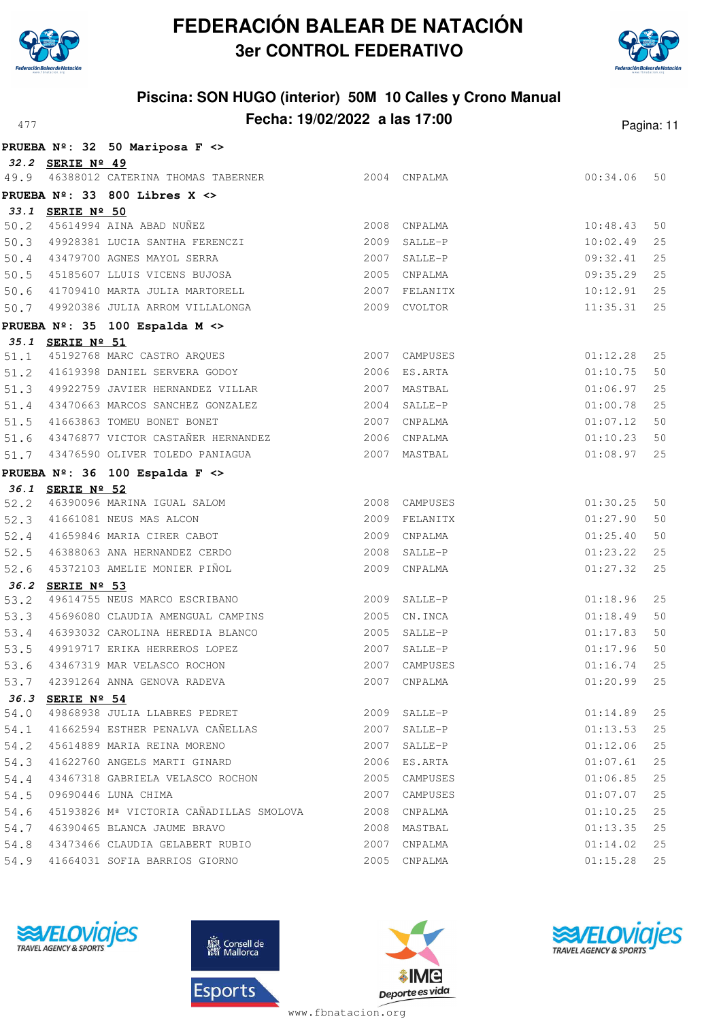



# **Piscina: SON HUGO (interior) 50M 10 Calles y Crono Manual Fecha: 19/02/2022 a las 17:00** Pagina: 11

|      |                  | PRUEBA Nº: 32 50 Mariposa F <>                                    |      |               |          |          |
|------|------------------|-------------------------------------------------------------------|------|---------------|----------|----------|
|      | 32.2 SERIE Nº 49 |                                                                   |      |               |          |          |
|      |                  | 49.9 46388012 CATERINA THOMAS TABERNER                            |      | 2004 CNPALMA  | 00:34.06 | 50       |
|      |                  | PRUEBA $N^{\circ}$ : 33 800 Libres X <>                           |      |               |          |          |
|      | 33.1 SERIE Nº 50 |                                                                   |      |               |          |          |
| 50.2 |                  | 45614994 AINA ABAD NUÑEZ                                          |      | 2008 CNPALMA  | 10:48.43 | 50       |
|      |                  | 50.3 49928381 LUCIA SANTHA FERENCZI                               | 2009 | SALLE-P       | 10:02.49 | 25       |
|      |                  | 50.4 43479700 AGNES MAYOL SERRA                                   |      | 2007 SALLE-P  | 09:32.41 | 25       |
| 50.5 |                  | 45185607 LLUIS VICENS BUJOSA                                      |      | 2005 CNPALMA  | 09:35.29 | 25       |
| 50.6 |                  | 41709410 MARTA JULIA MARTORELL                                    | 2007 | FELANITX      | 10:12.91 | 25       |
| 50.7 |                  | 49920386 JULIA ARROM VILLALONGA                                   |      | 2009 CVOLTOR  | 11:35.31 | 25       |
|      |                  | PRUEBA Nº: 35 100 Espalda M <>                                    |      |               |          |          |
|      | 35.1 SERIE Nº 51 |                                                                   |      |               |          |          |
| 51.1 |                  | 45192768 MARC CASTRO ARQUES                                       |      | 2007 CAMPUSES | 01:12.28 | 25       |
|      |                  | 51.2 41619398 DANIEL SERVERA GODOY                                |      | 2006 ES.ARTA  | 01:10.75 | 50       |
|      |                  | 51.3 49922759 JAVIER HERNANDEZ VILLAR                             |      | 2007 MASTBAL  | 01:06.97 | 25       |
| 51.4 |                  | 43470663 MARCOS SANCHEZ GONZALEZ                                  |      | 2004 SALLE-P  | 01:00.78 | 25       |
| 51.5 |                  | 41663863 TOMEU BONET BONET                                        |      | 2007 CNPALMA  | 01:07.12 | 50       |
| 51.6 |                  | 43476877 VICTOR CASTAÑER HERNANDEZ 2006 CNPALMA                   |      |               | 01:10.23 | 50       |
| 51.7 |                  | 43476590 OLIVER TOLEDO PANIAGUA                                   |      | 2007 MASTBAL  | 01:08.97 | 25       |
|      |                  | PRUEBA Nº: 36 100 Espalda F <>                                    |      |               |          |          |
|      | 36.1 SERIE Nº 52 |                                                                   |      |               |          |          |
| 52.2 |                  | 46390096 MARINA IGUAL SALOM                                       |      | 2008 CAMPUSES | 01:30.25 | 50       |
|      |                  | 52.3 41661081 NEUS MAS ALCON                                      |      | 2009 FELANITX | 01:27.90 | 50       |
| 52.4 |                  | 41659846 MARIA CIRER CABOT                                        |      | 2009 CNPALMA  | 01:25.40 | 50       |
| 52.5 |                  | 46388063 ANA HERNANDEZ CERDO                                      | 2008 | SALLE-P       | 01:23.22 | 25       |
| 52.6 |                  | 45372103 AMELIE MONIER PIÑOL                                      | 2009 | CNPALMA       | 01:27.32 | 25       |
| 36.2 | SERIE Nº 53      |                                                                   |      |               |          |          |
| 53.2 |                  | 49614755 NEUS MARCO ESCRIBANO                                     | 2009 | SALLE-P       | 01:18.96 | 25       |
| 53.3 |                  | 45696080 CLAUDIA AMENGUAL CAMPINS                                 | 2005 | CN.INCA       | 01:18.49 | 50       |
| 53.4 |                  | 46393032 CAROLINA HEREDIA BLANCO                                  | 2005 | SALLE-P       | 01:17.83 | 50       |
| 53.5 |                  | 49919717 ERIKA HERREROS LOPEZ                                     | 2007 | SALLE-P       | 01:17.96 | 50       |
| 53.6 |                  | 43467319 MAR VELASCO ROCHON                                       |      | 2007 CAMPUSES | 01:16.74 | 25       |
| 53.7 |                  | 42391264 ANNA GENOVA RADEVA                                       | 2007 | CNPALMA       | 01:20.99 | 25       |
| 36.3 | SERIE Nº 54      |                                                                   |      |               |          |          |
| 54.0 |                  | 49868938 JULIA LLABRES PEDRET<br>41662594 ESTHER PENALVA CAÑELLAS |      | 2009 SALLE-P  | 01:14.89 | 25<br>25 |
| 54.1 |                  |                                                                   |      | 2007 SALLE-P  | 01:13.53 |          |
| 54.2 |                  | 45614889 MARIA REINA MORENO                                       |      | 2007 SALLE-P  | 01:12.06 | 25       |
| 54.3 |                  | 41622760 ANGELS MARTI GINARD                                      |      | 2006 ES.ARTA  | 01:07.61 | 25       |
| 54.4 |                  | 43467318 GABRIELA VELASCO ROCHON                                  |      | 2005 CAMPUSES | 01:06.85 | 25       |
| 54.5 |                  | 09690446 LUNA CHIMA                                               | 2007 | CAMPUSES      | 01:07.07 | 25       |
| 54.6 |                  | 45193826 Mª VICTORIA CAÑADILLAS SMOLOVA                           | 2008 | CNPALMA       | 01:10.25 | 25       |
| 54.7 |                  | 46390465 BLANCA JAUME BRAVO                                       | 2008 | MASTBAL       | 01:13.35 | 25       |
| 54.8 |                  | 43473466 CLAUDIA GELABERT RUBIO                                   |      | 2007 CNPALMA  | 01:14.02 | 25       |
| 54.9 |                  | 41664031 SOFIA BARRIOS GIORNO                                     |      | 2005 CNPALMA  | 01:15.28 | 25       |







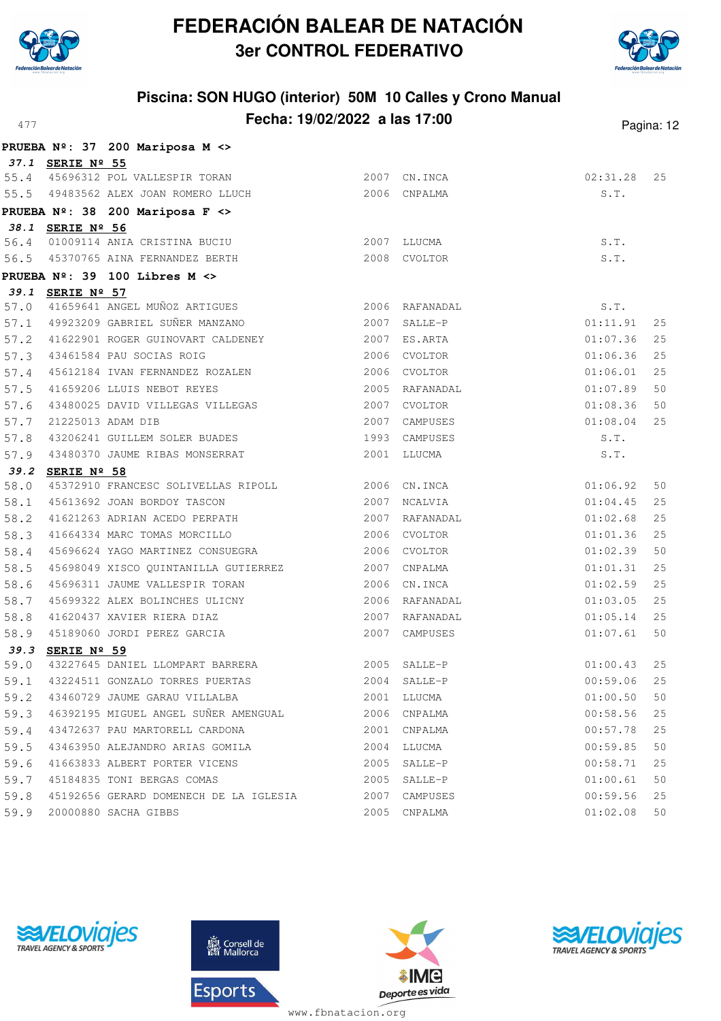



# **Piscina: SON HUGO (interior) 50M 10 Calles y Crono Manual Fecha: 19/02/2022 a las 17:00** Pagina: 12

|      |                  | PRUEBA Nº: 37 200 Mariposa M <>                                                 |      |                |          |    |
|------|------------------|---------------------------------------------------------------------------------|------|----------------|----------|----|
|      | 37.1 SERIE Nº 55 |                                                                                 |      |                |          |    |
|      |                  | 55.4 45696312 POL VALLESPIR TORAN                                               |      | 2007 CN. INCA  | 02:31.28 | 25 |
|      |                  | 55.5 49483562 ALEX JOAN ROMERO LLUCH                                            |      | 2006 CNPALMA   | S.T.     |    |
|      |                  | PRUEBA Nº: 38 200 Mariposa F <>                                                 |      |                |          |    |
|      | 38.1 SERIE Nº 56 |                                                                                 |      |                |          |    |
|      |                  | 56.4 01009114 ANIA CRISTINA BUCIU 2007 LLUCMA                                   |      |                | S.T.     |    |
|      |                  | 56.5 45370765 AINA FERNANDEZ BERTH                                              |      | 2008 CVOLTOR   | S.T.     |    |
|      |                  | PRUEBA $N^{\circ}$ : 39 100 Libres M <>                                         |      |                |          |    |
|      | 39.1 SERIE Nº 57 |                                                                                 |      |                |          |    |
|      |                  | 57.0 41659641 ANGEL MUÑOZ ARTIGUES                                              |      | 2006 RAFANADAL | S.T.     |    |
|      |                  | 57.1 49923209 GABRIEL SUÑER MANZANO                                             |      | 2007 SALLE-P   | 01:11.91 | 25 |
|      |                  | 57.2 41622901 ROGER GUINOVART CALDENEY                                          |      | 2007 ES.ARTA   | 01:07.36 | 25 |
|      |                  | 57.3 43461584 PAU SOCIAS ROIG                                                   |      | 2006 CVOLTOR   | 01:06.36 | 25 |
|      |                  | 57.4 45612184 IVAN FERNANDEZ ROZALEN                                            |      | 2006 CVOLTOR   | 01:06.01 | 25 |
| 57.5 |                  | 41659206 LLUIS NEBOT REYES                                                      |      | 2005 RAFANADAL | 01:07.89 | 50 |
| 57.6 |                  | 43480025 DAVID VILLEGAS VILLEGAS                                                |      | 2007 CVOLTOR   | 01:08.36 | 50 |
| 57.7 |                  | 21225013 ADAM DIB                                                               |      | 2007 CAMPUSES  | 01:08.04 | 25 |
| 57.8 |                  | 43206241 GUILLEM SOLER BUADES                                                   |      | 1993 CAMPUSES  | S.T.     |    |
|      |                  | 57.9 43480370 JAUME RIBAS MONSERRAT                                             |      | 2001 LLUCMA    | S.T.     |    |
| 58.0 | 39.2 SERIE Nº 58 |                                                                                 |      |                | 01:06.92 | 50 |
| 58.1 |                  | 45372910 FRANCESC SOLIVELLAS RIPOLL 2006 CN.INCA<br>45613692 JOAN BORDOY TASCON | 2007 | NCALVIA        | 01:04.45 | 25 |
|      |                  | 58.2 41621263 ADRIAN ACEDO PERPATH                                              |      | 2007 RAFANADAL | 01:02.68 | 25 |
|      |                  |                                                                                 |      | 2006 CVOLTOR   | 01:01.36 | 25 |
| 58.4 |                  | 58.3 41664334 MARC TOMAS MORCILLO<br>45696624 YAGO MARTINEZ CONSUEGRA           |      | 2006 CVOLTOR   | 01:02.39 | 50 |
| 58.5 |                  | 45698049 XISCO QUINTANILLA GUTIERREZ                                            |      | 2007 CNPALMA   | 01:01.31 | 25 |
| 58.6 |                  | 45696311 JAUME VALLESPIR TORAN                                                  |      | 2006 CN.INCA   | 01:02.59 | 25 |
| 58.7 |                  |                                                                                 |      | 2006 RAFANADAL | 01:03.05 | 25 |
|      |                  | 45699322 ALEX BOLINCHES ULICNY                                                  |      | 2007 RAFANADAL | 01:05.14 | 25 |
|      |                  | 58.8 41620437 XAVIER RIERA DIAZ<br>58.9 45189060 JORDI PEREZ GARCIA             |      | 2007 CAMPUSES  | 01:07.61 | 50 |
|      | 39.3 SERIE Nº 59 |                                                                                 |      |                |          |    |
|      |                  | 59.0 43227645 DANIEL LLOMPART BARRERA                                           |      | 2005 SALLE-P   | 01:00.43 | 25 |
| 59.1 |                  | 43224511 GONZALO TORRES PUERTAS                                                 |      | 2004 SALLE-P   | 00:59.06 | 25 |
| 59.2 |                  | 43460729 JAUME GARAU VILLALBA                                                   |      | 2001 LLUCMA    | 01:00.50 | 50 |
|      |                  | 59.3 46392195 MIGUEL ANGEL SUÑER AMENGUAL                                       |      | 2006 CNPALMA   | 00:58.56 | 25 |
|      |                  | 59.4 43472637 PAU MARTORELL CARDONA                                             |      | 2001 CNPALMA   | 00:57.78 | 25 |
|      |                  | 59.5 43463950 ALEJANDRO ARIAS GOMILA                                            |      | 2004 LLUCMA    | 00:59.85 | 50 |
| 59.6 |                  | 41663833 ALBERT PORTER VICENS                                                   | 2005 | SALLE-P        | 00:58.71 | 25 |
| 59.7 |                  | 45184835 TONI BERGAS COMAS                                                      | 2005 | SALLE-P        | 01:00.61 | 50 |
| 59.8 |                  | 45192656 GERARD DOMENECH DE LA IGLESIA                                          | 2007 | CAMPUSES       | 00:59.56 | 25 |
| 59.9 |                  | 20000880 SACHA GIBBS                                                            |      | 2005 CNPALMA   | 01:02.08 | 50 |







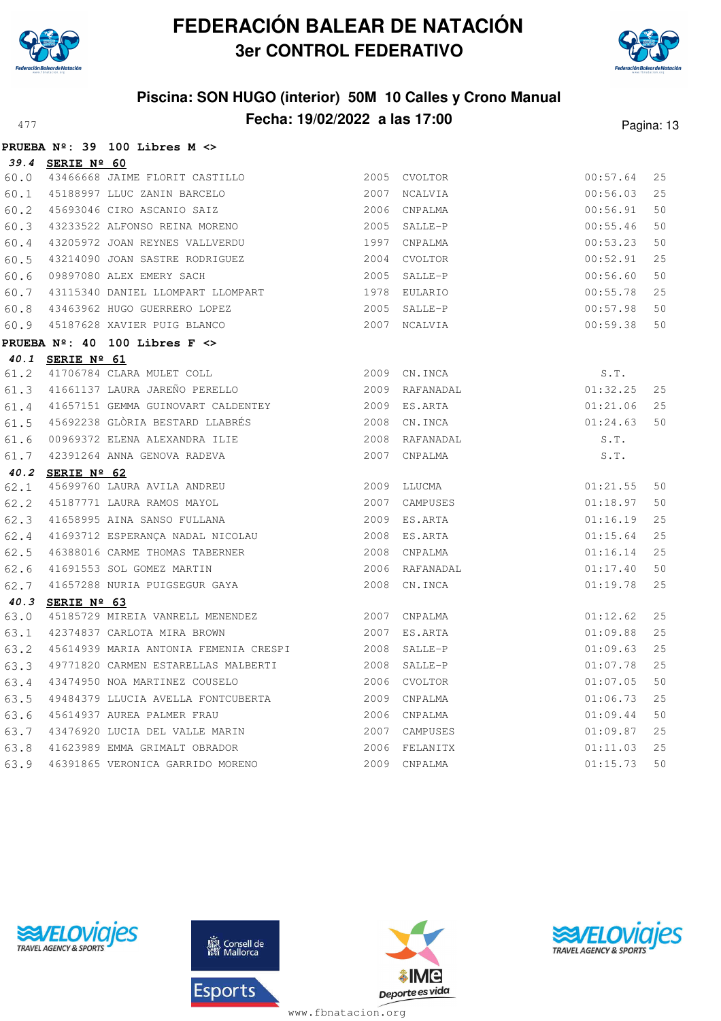



|      |                  | PRUEBA $N^{\circ}$ : 39 100 Libres M <>                     |              |                |          |    |
|------|------------------|-------------------------------------------------------------|--------------|----------------|----------|----|
|      | 39.4 SERIE Nº 60 |                                                             |              |                |          |    |
|      |                  | 60.0 43466668 JAIME FLORIT CASTILLO                         |              | 2005 CVOLTOR   | 00:57.64 | 25 |
|      |                  | 60.1 45188997 LLUC ZANIN BARCELO                            | 2007 NCALVIA |                | 00:56.03 | 25 |
| 60.2 |                  | 45693046 CIRO ASCANIO SAIZ                                  | 2006 CNPALMA |                | 00:56.91 | 50 |
| 60.3 |                  | 43233522 ALFONSO REINA MORENO                               | 2005 SALLE-P |                | 00:55.46 | 50 |
| 60.4 |                  | 43205972 JOAN REYNES VALLVERDU 1997 CNPALMA                 |              |                | 00:53.23 | 50 |
| 60.5 |                  | 43214090 JOAN SASTRE RODRIGUEZ                              |              | 2004 CVOLTOR   | 00:52.91 | 25 |
| 60.6 |                  | 09897080 ALEX EMERY SACH                                    |              | 2005 SALLE-P   | 00:56.60 | 50 |
| 60.7 |                  | 43115340 DANIEL LLOMPART LLOMPART                           |              | 1978 EULARIO   | 00:55.78 | 25 |
| 60.8 |                  | 43463962 HUGO GUERRERO LOPEZ                                |              | 2005 SALLE-P   | 00:57.98 | 50 |
|      |                  | 60.9 45187628 XAVIER PUIG BLANCO                            |              | 2007 NCALVIA   | 00:59.38 | 50 |
|      |                  | PRUEBA $N^{\circ}$ : 40 100 Libres F <>                     |              |                |          |    |
|      | 40.1 SERIE Nº 61 |                                                             |              |                |          |    |
|      |                  | 61.2 41706784 CLARA MULET COLL                              |              | 2009 CN.INCA   | S.T.     |    |
|      |                  | 61.3 41661137 LAURA JAREÑO PERELLO                          |              | 2009 RAFANADAL | 01:32.25 | 25 |
|      |                  | 61.4 41657151 GEMMA GUINOVART CALDENTEY 61.4 2009 ES.ARTA   |              |                | 01:21.06 | 25 |
| 61.5 |                  | 45692238 GLÒRIA BESTARD LLABRÉS                             |              | 2008 CN. INCA  | 01:24.63 | 50 |
|      |                  | 61.6 00969372 ELENA ALEXANDRA ILIE                          |              | 2008 RAFANADAL | S.T.     |    |
|      |                  | 61.7 42391264 ANNA GENOVA RADEVA                            |              | 2007 CNPALMA   | S.T.     |    |
|      | 40.2 SERIE Nº 62 |                                                             |              |                |          |    |
| 62.1 |                  | 45699760 LAURA AVILA ANDREU                                 |              | 2009 LLUCMA    | 01:21.55 | 50 |
| 62.2 |                  | 45187771 LAURA RAMOS MAYOL                                  |              | 2007 CAMPUSES  | 01:18.97 | 50 |
|      |                  | 62.3 41658995 AINA SANSO FULLANA                            |              | 2009 ES.ARTA   | 01:16.19 | 25 |
|      |                  | 62.4 41693712 ESPERANÇA NADAL NICOLAU                       |              | 2008 ES.ARTA   | 01:15.64 | 25 |
| 62.5 |                  | 46388016 CARME THOMAS TABERNER<br>41691553 SOL GOMEZ MARTIN |              | 2008 CNPALMA   | 01:16.14 | 25 |
| 62.6 |                  |                                                             |              | 2006 RAFANADAL | 01:17.40 | 50 |
|      |                  | 62.7 41657288 NURIA PUIGSEGUR GAYA                          |              | 2008 CN. INCA  | 01:19.78 | 25 |
|      | 40.3 SERIE Nº 63 |                                                             |              |                |          |    |
| 63.0 |                  | 45185729 MIREIA VANRELL MENENDEZ 6007 CNPALMA               |              |                | 01:12.62 | 25 |
| 63.1 |                  | 2007 ES.ARTA<br>42374837 CARLOTA MIRA BROWN                 |              |                | 01:09.88 | 25 |
| 63.2 |                  | 45614939 MARIA ANTONIA FEMENIA CRESPI 2008 SALLE-P          |              |                | 01:09.63 | 25 |
| 63.3 |                  |                                                             |              |                | 01:07.78 | 25 |
| 63.4 |                  | 43474950 NOA MARTINEZ COUSELO                               |              | 2006 CVOLTOR   | 01:07.05 | 50 |
| 63.5 |                  | 49484379 LLUCIA AVELLA FONTCUBERTA 6000 2009 CNPALMA        |              |                | 01:06.73 | 25 |
| 63.6 |                  | 45614937 AUREA PALMER FRAU                                  |              | 2006 CNPALMA   | 01:09.44 | 50 |
| 63.7 |                  | 43476920 LUCIA DEL VALLE MARIN                              |              | 2007 CAMPUSES  | 01:09.87 | 25 |
| 63.8 |                  | 41623989 EMMA GRIMALT OBRADOR (2006 FELANITX                |              |                | 01:11.03 | 25 |
| 63.9 |                  | 46391865 VERONICA GARRIDO MORENO                            |              | 2009 CNPALMA   | 01:15.73 | 50 |